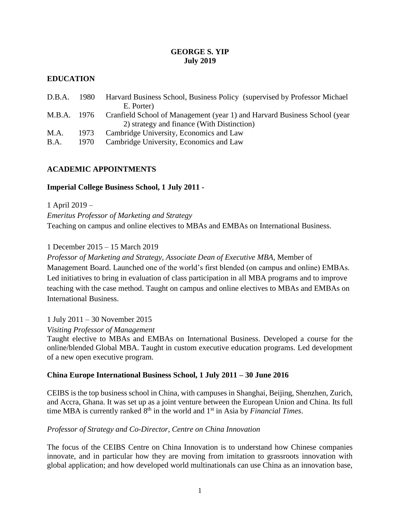# **GEORGE S. YIP July 2019**

# **EDUCATION**

| D.B.A.<br>-1980- | Harvard Business School, Business Policy (supervised by Professor Michael)<br>E. Porter) |
|------------------|------------------------------------------------------------------------------------------|
|                  | M.B.A. 1976 Cranfield School of Management (year 1) and Harvard Business School (year    |
|                  | 2) strategy and finance (With Distinction)                                               |
| 1973             | Cambridge University, Economics and Law                                                  |
| 1970             | Cambridge University, Economics and Law                                                  |
|                  |                                                                                          |

# **ACADEMIC APPOINTMENTS**

# **Imperial College Business School, 1 July 2011 -**

1 April 2019 – *Emeritus Professor of Marketing and Strategy* Teaching on campus and online electives to MBAs and EMBAs on International Business.

1 December 2015 – 15 March 2019

*Professor of Marketing and Strategy, Associate Dean of Executive MBA*, Member of Management Board. Launched one of the world's first blended (on campus and online) EMBAs. Led initiatives to bring in evaluation of class participation in all MBA programs and to improve teaching with the case method. Taught on campus and online electives to MBAs and EMBAs on International Business.

1 July 2011 – 30 November 2015

*Visiting Professor of Management*

Taught elective to MBAs and EMBAs on International Business. Developed a course for the online/blended Global MBA. Taught in custom executive education programs. Led development of a new open executive program.

# **China Europe International Business School, 1 July 2011 – 30 June 2016**

CEIBS is the top business school in China, with campuses in Shanghai, Beijing, Shenzhen, Zurich, and Accra, Ghana. It was set up as a joint venture between the European Union and China. Its full time MBA is currently ranked 8<sup>th</sup> in the world and 1<sup>st</sup> in Asia by *Financial Times*.

#### *Professor of Strategy and Co-Director, Centre on China Innovation*

The focus of the CEIBS Centre on China Innovation is to understand how Chinese companies innovate, and in particular how they are moving from imitation to grassroots innovation with global application; and how developed world multinationals can use China as an innovation base,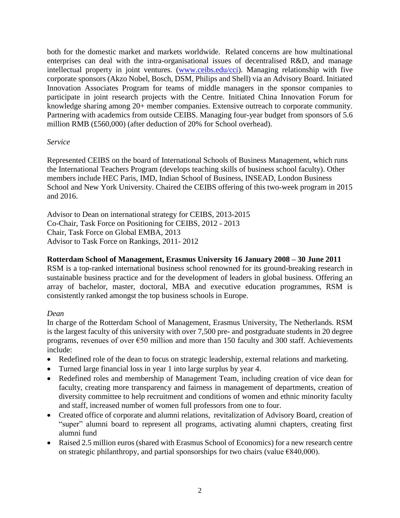both for the domestic market and markets worldwide. Related concerns are how multinational enterprises can deal with the intra-organisational issues of decentralised R&D, and manage intellectual property in joint ventures. [\(www.ceibs.edu/cci\)](http://www.ceibs.edu/cci). Managing relationship with five corporate sponsors (Akzo Nobel, Bosch, DSM, Philips and Shell) via an Advisory Board. Initiated Innovation Associates Program for teams of middle managers in the sponsor companies to participate in joint research projects with the Centre. Initiated China Innovation Forum for knowledge sharing among 20+ member companies. Extensive outreach to corporate community. Partnering with academics from outside CEIBS. Managing four-year budget from sponsors of 5.6 million RMB (£560,000) (after deduction of 20% for School overhead).

# *Service*

Represented CEIBS on the board of International Schools of Business Management, which runs the International Teachers Program (develops teaching skills of business school faculty). Other members include HEC Paris, IMD, Indian School of Business, INSEAD, London Business School and New York University. Chaired the CEIBS offering of this two-week program in 2015 and 2016.

Advisor to Dean on international strategy for CEIBS, 2013-2015 Co-Chair, Task Force on Positioning for CEIBS, 2012 - 2013 Chair, Task Force on Global EMBA, 2013 Advisor to Task Force on Rankings, 2011- 2012

# **Rotterdam School of Management, Erasmus University 16 January 2008 – 30 June 2011**

RSM is a top-ranked international business school renowned for its ground-breaking research in sustainable business practice and for the development of leaders in global business. Offering an array of bachelor, master, doctoral, MBA and executive education programmes, RSM is consistently ranked amongst the top business schools in Europe.

#### *Dean*

In charge of the Rotterdam School of Management, Erasmus University, The Netherlands. RSM is the largest faculty of this university with over 7,500 pre- and postgraduate students in 20 degree programs, revenues of over €50 million and more than 150 faculty and 300 staff. Achievements include:

- Redefined role of the dean to focus on strategic leadership, external relations and marketing.
- Turned large financial loss in year 1 into large surplus by year 4.
- Redefined roles and membership of Management Team, including creation of vice dean for faculty, creating more transparency and fairness in management of departments, creation of diversity committee to help recruitment and conditions of women and ethnic minority faculty and staff, increased number of women full professors from one to four.
- Created office of corporate and alumni relations, revitalization of Advisory Board, creation of "super" alumni board to represent all programs, activating alumni chapters, creating first alumni fund
- Raised 2.5 million euros (shared with Erasmus School of Economics) for a new research centre on strategic philanthropy, and partial sponsorships for two chairs (value  $\epsilon$ 840,000).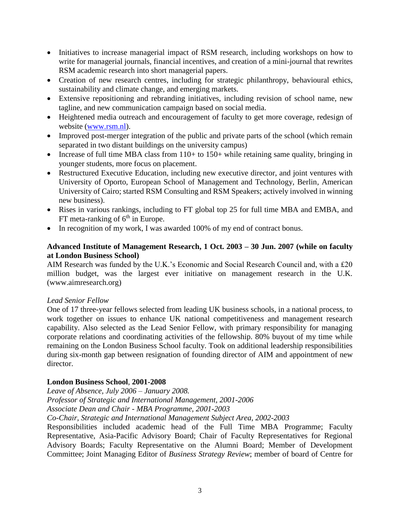- Initiatives to increase managerial impact of RSM research, including workshops on how to write for managerial journals, financial incentives, and creation of a mini-journal that rewrites RSM academic research into short managerial papers.
- Creation of new research centres, including for strategic philanthropy, behavioural ethics, sustainability and climate change, and emerging markets.
- Extensive repositioning and rebranding initiatives, including revision of school name, new tagline, and new communication campaign based on social media.
- Heightened media outreach and encouragement of faculty to get more coverage, redesign of website [\(www.rsm.nl\)](http://www.rsm.nl/).
- Improved post-merger integration of the public and private parts of the school (which remain separated in two distant buildings on the university campus)
- Increase of full time MBA class from 110+ to 150+ while retaining same quality, bringing in younger students, more focus on placement.
- Restructured Executive Education, including new executive director, and joint ventures with University of Oporto, European School of Management and Technology, Berlin, American University of Cairo; started RSM Consulting and RSM Speakers; actively involved in winning new business).
- Rises in various rankings, including to FT global top 25 for full time MBA and EMBA, and FT meta-ranking of  $6<sup>th</sup>$  in Europe.
- In recognition of my work, I was awarded 100% of my end of contract bonus.

# **Advanced Institute of Management Research, 1 Oct. 2003 – 30 Jun. 2007 (while on faculty at London Business School)**

AIM Research was funded by the U.K.'s Economic and Social Research Council and, with a £20 million budget, was the largest ever initiative on management research in the U.K. (www.aimresearch.org)

# *Lead Senior Fellow*

One of 17 three-year fellows selected from leading UK business schools, in a national process, to work together on issues to enhance UK national competitiveness and management research capability. Also selected as the Lead Senior Fellow, with primary responsibility for managing corporate relations and coordinating activities of the fellowship. 80% buyout of my time while remaining on the London Business School faculty. Took on additional leadership responsibilities during six-month gap between resignation of founding director of AIM and appointment of new director.

# **London Business School**, **2001-2008**

*Leave of Absence, July 2006 – January 2008.*

*Professor of Strategic and International Management, 2001-2006*

*Associate Dean and Chair - MBA Programme, 2001-2003*

*Co-Chair, Strategic and International Management Subject Area, 2002-2003*

Responsibilities included academic head of the Full Time MBA Programme; Faculty Representative, Asia-Pacific Advisory Board; Chair of Faculty Representatives for Regional Advisory Boards; Faculty Representative on the Alumni Board; Member of Development Committee; Joint Managing Editor of *Business Strategy Review*; member of board of Centre for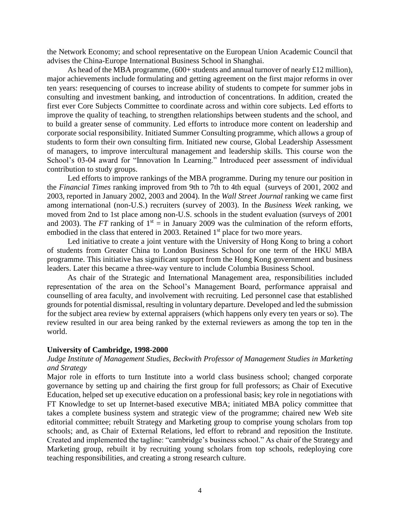the Network Economy; and school representative on the European Union Academic Council that advises the China-Europe International Business School in Shanghai.

As head of the MBA programme,  $(600+$  students and annual turnover of nearly £12 million), major achievements include formulating and getting agreement on the first major reforms in over ten years: resequencing of courses to increase ability of students to compete for summer jobs in consulting and investment banking, and introduction of concentrations. In addition, created the first ever Core Subjects Committee to coordinate across and within core subjects. Led efforts to improve the quality of teaching, to strengthen relationships between students and the school, and to build a greater sense of community. Led efforts to introduce more content on leadership and corporate social responsibility. Initiated Summer Consulting programme, which allows a group of students to form their own consulting firm. Initiated new course, Global Leadership Assessment of managers, to improve intercultural management and leadership skills. This course won the School's 03-04 award for "Innovation In Learning." Introduced peer assessment of individual contribution to study groups.

Led efforts to improve rankings of the MBA programme. During my tenure our position in the *Financial Times* ranking improved from 9th to 7th to 4th equal (surveys of 2001, 2002 and 2003, reported in January 2002, 2003 and 2004). In the *Wall Street Journal* ranking we came first among international (non-U.S.) recruiters (survey of 2003). In the *Business Week* ranking, we moved from 2nd to 1st place among non-U.S. schools in the student evaluation (surveys of 2001 and 2003). The *FT* ranking of  $1<sup>st</sup> = in January 2009$  was the culmination of the reform efforts, embodied in the class that entered in 2003. Retained 1<sup>st</sup> place for two more years.

Led initiative to create a joint venture with the University of Hong Kong to bring a cohort of students from Greater China to London Business School for one term of the HKU MBA programme. This initiative has significant support from the Hong Kong government and business leaders. Later this became a three-way venture to include Columbia Business School.

As chair of the Strategic and International Management area, responsibilities included representation of the area on the School's Management Board, performance appraisal and counselling of area faculty, and involvement with recruiting. Led personnel case that established grounds for potential dismissal, resulting in voluntary departure. Developed and led the submission for the subject area review by external appraisers (which happens only every ten years or so). The review resulted in our area being ranked by the external reviewers as among the top ten in the world.

#### **University of Cambridge, 1998-2000**

# *Judge Institute of Management Studies, Beckwith Professor of Management Studies in Marketing and Strategy*

Major role in efforts to turn Institute into a world class business school; changed corporate governance by setting up and chairing the first group for full professors; as Chair of Executive Education, helped set up executive education on a professional basis; key role in negotiations with FT Knowledge to set up Internet-based executive MBA; initiated MBA policy committee that takes a complete business system and strategic view of the programme; chaired new Web site editorial committee; rebuilt Strategy and Marketing group to comprise young scholars from top schools; and, as Chair of External Relations, led effort to rebrand and reposition the Institute. Created and implemented the tagline: "cambridge's business school." As chair of the Strategy and Marketing group, rebuilt it by recruiting young scholars from top schools, redeploying core teaching responsibilities, and creating a strong research culture.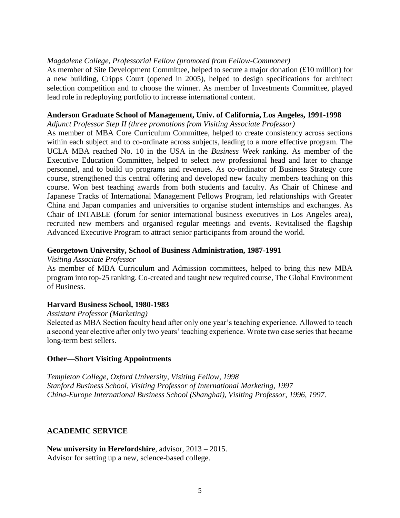#### *Magdalene College, Professorial Fellow (promoted from Fellow-Commoner)*

As member of Site Development Committee, helped to secure a major donation (£10 million) for a new building, Cripps Court (opened in 2005), helped to design specifications for architect selection competition and to choose the winner. As member of Investments Committee, played lead role in redeploying portfolio to increase international content.

#### **Anderson Graduate School of Management, Univ. of California, Los Angeles, 1991-1998**

*Adjunct Professor Step II (three promotions from Visiting Associate Professor)*

As member of MBA Core Curriculum Committee, helped to create consistency across sections within each subject and to co-ordinate across subjects, leading to a more effective program. The UCLA MBA reached No. 10 in the USA in the *Business Week* ranking. As member of the Executive Education Committee, helped to select new professional head and later to change personnel, and to build up programs and revenues. As co-ordinator of Business Strategy core course, strengthened this central offering and developed new faculty members teaching on this course. Won best teaching awards from both students and faculty. As Chair of Chinese and Japanese Tracks of International Management Fellows Program, led relationships with Greater China and Japan companies and universities to organise student internships and exchanges. As Chair of INTABLE (forum for senior international business executives in Los Angeles area), recruited new members and organised regular meetings and events. Revitalised the flagship Advanced Executive Program to attract senior participants from around the world.

#### **Georgetown University, School of Business Administration, 1987-1991**

*Visiting Associate Professor*

As member of MBA Curriculum and Admission committees, helped to bring this new MBA program into top-25 ranking. Co-created and taught new required course, The Global Environment of Business.

#### **Harvard Business School, 1980-1983**

#### *Assistant Professor (Marketing)*

Selected as MBA Section faculty head after only one year's teaching experience. Allowed to teach a second year elective after only two years' teaching experience. Wrote two case series that became long-term best sellers.

#### **Other—Short Visiting Appointments**

*Templeton College, Oxford University, Visiting Fellow, 1998 Stanford Business School, Visiting Professor of International Marketing, 1997 China-Europe International Business School (Shanghai), Visiting Professor, 1996, 1997.*

#### **ACADEMIC SERVICE**

**New university in Herefordshire**, advisor, 2013 – 2015. Advisor for setting up a new, science-based college.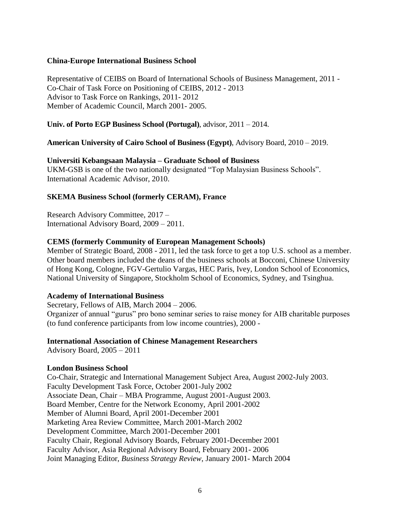#### **China-Europe International Business School**

Representative of CEIBS on Board of International Schools of Business Management, 2011 - Co-Chair of Task Force on Positioning of CEIBS, 2012 - 2013 Advisor to Task Force on Rankings, 2011- 2012 Member of Academic Council, March 2001- 2005.

#### **Univ. of Porto EGP Business School (Portugal)**, advisor, 2011 – 2014.

# **American University of Cairo School of Business (Egypt)**, Advisory Board, 2010 – 2019.

#### **Universiti Kebangsaan Malaysia – Graduate School of Business**

UKM-GSB is one of the two nationally designated "Top Malaysian Business Schools". International Academic Advisor, 2010.

# **SKEMA Business School (formerly CERAM), France**

Research Advisory Committee, 2017 – International Advisory Board, 2009 – 2011.

#### **CEMS (formerly Community of European Management Schools)**

Member of Strategic Board, 2008 - 2011, led the task force to get a top U.S. school as a member. Other board members included the deans of the business schools at Bocconi, Chinese University of Hong Kong, Cologne, FGV-Gertulio Vargas, HEC Paris, Ivey, London School of Economics, National University of Singapore, Stockholm School of Economics, Sydney, and Tsinghua.

#### **Academy of International Business**

Secretary, Fellows of AIB, March 2004 – 2006. Organizer of annual "gurus" pro bono seminar series to raise money for AIB charitable purposes (to fund conference participants from low income countries), 2000 -

#### **International Association of Chinese Management Researchers**

Advisory Board, 2005 – 2011

#### **London Business School**

Co-Chair, Strategic and International Management Subject Area, August 2002-July 2003. Faculty Development Task Force, October 2001-July 2002 Associate Dean, Chair – MBA Programme, August 2001-August 2003. Board Member, Centre for the Network Economy, April 2001-2002 Member of Alumni Board, April 2001-December 2001 Marketing Area Review Committee, March 2001-March 2002 Development Committee, March 2001-December 2001 Faculty Chair, Regional Advisory Boards, February 2001-December 2001 Faculty Advisor, Asia Regional Advisory Board, February 2001- 2006 Joint Managing Editor, *Business Strategy Review*, January 2001- March 2004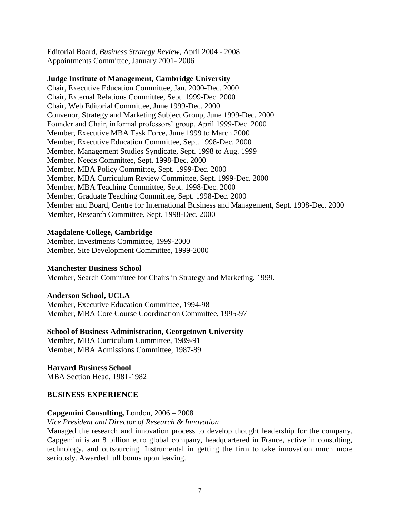Editorial Board, *Business Strategy Review*, April 2004 - 2008 Appointments Committee, January 2001- 2006

#### **Judge Institute of Management, Cambridge University**

Chair, Executive Education Committee, Jan. 2000-Dec. 2000 Chair, External Relations Committee, Sept. 1999-Dec. 2000 Chair, Web Editorial Committee, June 1999-Dec. 2000 Convenor, Strategy and Marketing Subject Group, June 1999-Dec. 2000 Founder and Chair, informal professors' group, April 1999-Dec. 2000 Member, Executive MBA Task Force, June 1999 to March 2000 Member, Executive Education Committee, Sept. 1998-Dec. 2000 Member, Management Studies Syndicate, Sept. 1998 to Aug. 1999 Member, Needs Committee, Sept. 1998-Dec. 2000 Member, MBA Policy Committee, Sept. 1999-Dec. 2000 Member, MBA Curriculum Review Committee, Sept. 1999-Dec. 2000 Member, MBA Teaching Committee, Sept. 1998-Dec. 2000 Member, Graduate Teaching Committee, Sept. 1998-Dec. 2000 Member and Board, Centre for International Business and Management, Sept. 1998-Dec. 2000 Member, Research Committee, Sept. 1998-Dec. 2000

#### **Magdalene College, Cambridge**

Member, Investments Committee, 1999-2000 Member, Site Development Committee, 1999-2000

#### **Manchester Business School**

Member, Search Committee for Chairs in Strategy and Marketing, 1999.

#### **Anderson School, UCLA**

Member, Executive Education Committee, 1994-98 Member, MBA Core Course Coordination Committee, 1995-97

#### **School of Business Administration, Georgetown University**

Member, MBA Curriculum Committee, 1989-91 Member, MBA Admissions Committee, 1987-89

**Harvard Business School** MBA Section Head, 1981-1982

#### **BUSINESS EXPERIENCE**

#### **Capgemini Consulting,** London, 2006 – 2008

#### *Vice President and Director of Research & Innovation*

Managed the research and innovation process to develop thought leadership for the company. Capgemini is an 8 billion euro global company, headquartered in France, active in consulting, technology, and outsourcing. Instrumental in getting the firm to take innovation much more seriously. Awarded full bonus upon leaving.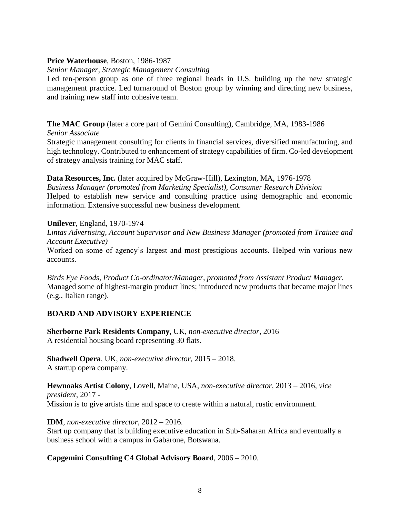# **Price Waterhouse**, Boston, 1986-1987

# *Senior Manager, Strategic Management Consulting*

Led ten-person group as one of three regional heads in U.S. building up the new strategic management practice. Led turnaround of Boston group by winning and directing new business, and training new staff into cohesive team.

# **The MAC Group** (later a core part of Gemini Consulting), Cambridge, MA, 1983-1986

*Senior Associate*

Strategic management consulting for clients in financial services, diversified manufacturing, and high technology. Contributed to enhancement of strategy capabilities of firm. Co-led development of strategy analysis training for MAC staff.

# **Data Resources, Inc.** (later acquired by McGraw-Hill), Lexington, MA, 1976-1978

*Business Manager (promoted from Marketing Specialist), Consumer Research Division* Helped to establish new service and consulting practice using demographic and economic information. Extensive successful new business development.

# **Unilever**, England, 1970-1974

*Lintas Advertising, Account Supervisor and New Business Manager (promoted from Trainee and Account Executive)*

Worked on some of agency's largest and most prestigious accounts. Helped win various new accounts.

*Birds Eye Foods, Product Co-ordinator/Manager, promoted from Assistant Product Manager.* Managed some of highest-margin product lines; introduced new products that became major lines (e.g., Italian range).

# **BOARD AND ADVISORY EXPERIENCE**

**Sherborne Park Residents Company**, UK, *non-executive director,* 2016 – A residential housing board representing 30 flats.

**Shadwell Opera**, UK, *non-executive director,* 2015 – 2018. A startup opera company.

**Hewnoaks Artist Colony**, Lovell, Maine, USA, *non-executive director,* 2013 – 2016, *vice president*, 2017 - Mission is to give artists time and space to create within a natural, rustic environment.

**IDM**, *non-executive director,* 2012 – 2016.

Start up company that is building executive education in Sub-Saharan Africa and eventually a business school with a campus in Gabarone, Botswana.

# **Capgemini Consulting C4 Global Advisory Board**, 2006 – 2010.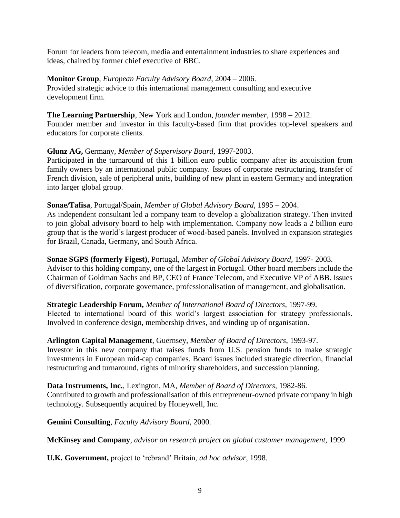Forum for leaders from telecom, media and entertainment industries to share experiences and ideas, chaired by former chief executive of BBC.

#### **Monitor Group**, *European Faculty Advisory Board*, 2004 – 2006.

Provided strategic advice to this international management consulting and executive development firm.

**The Learning Partnership**, New York and London, *founder member,* 1998 – 2012. Founder member and investor in this faculty-based firm that provides top-level speakers and educators for corporate clients.

# **Glunz AG,** Germany, *Member of Supervisory Board*, 1997-2003.

Participated in the turnaround of this 1 billion euro public company after its acquisition from family owners by an international public company. Issues of corporate restructuring, transfer of French division, sale of peripheral units, building of new plant in eastern Germany and integration into larger global group.

#### **Sonae/Tafisa**, Portugal/Spain, *Member of Global Advisory Board,* 1995 – 2004.

As independent consultant led a company team to develop a globalization strategy. Then invited to join global advisory board to help with implementation. Company now leads a 2 billion euro group that is the world's largest producer of wood-based panels. Involved in expansion strategies for Brazil, Canada, Germany, and South Africa.

# **Sonae SGPS (formerly Figest)**, Portugal, *Member of Global Advisory Board,* 1997- 2003.

Advisor to this holding company, one of the largest in Portugal. Other board members include the Chairman of Goldman Sachs and BP, CEO of France Telecom, and Executive VP of ABB. Issues of diversification, corporate governance, professionalisation of management, and globalisation.

#### **Strategic Leadership Forum,** *Member of International Board of Directors,* 1997-99.

Elected to international board of this world's largest association for strategy professionals. Involved in conference design, membership drives, and winding up of organisation.

#### **Arlington Capital Management**, Guernsey, *Member of Board of Directors*, 1993-97.

Investor in this new company that raises funds from U.S. pension funds to make strategic investments in European mid-cap companies. Board issues included strategic direction, financial restructuring and turnaround, rights of minority shareholders, and succession planning.

**Data Instruments, Inc.**, Lexington, MA, *Member of Board of Directors,* 1982-86. Contributed to growth and professionalisation of this entrepreneur-owned private company in high technology. Subsequently acquired by Honeywell, Inc.

**Gemini Consulting**, *Faculty Advisory Board,* 2000.

**McKinsey and Company**, *advisor on research project on global customer management,* 1999

**U.K. Government,** project to 'rebrand' Britain, *ad hoc advisor*, 1998.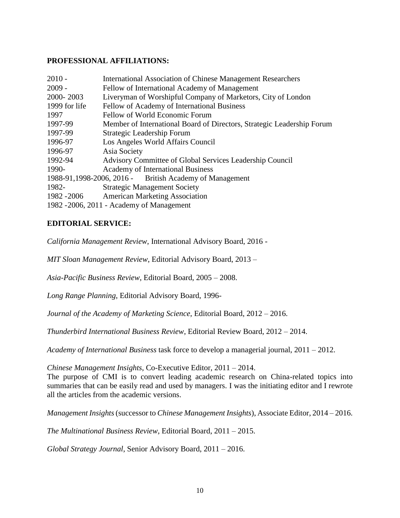# **PROFESSIONAL AFFILIATIONS:**

| $2010 -$      | <b>International Association of Chinese Management Researchers</b>     |
|---------------|------------------------------------------------------------------------|
| $2009 -$      | Fellow of International Academy of Management                          |
| 2000-2003     | Liveryman of Worshipful Company of Marketors, City of London           |
| 1999 for life | Fellow of Academy of International Business                            |
| 1997          | Fellow of World Economic Forum                                         |
| 1997-99       | Member of International Board of Directors, Strategic Leadership Forum |
| 1997-99       | Strategic Leadership Forum                                             |
| 1996-97       | Los Angeles World Affairs Council                                      |
| 1996-97       | Asia Society                                                           |
| 1992-94       | Advisory Committee of Global Services Leadership Council               |
| 1990-         | <b>Academy of International Business</b>                               |
|               | 1988-91,1998-2006, 2016 - British Academy of Management                |
| 1982-         | <b>Strategic Management Society</b>                                    |
| 1982 - 2006   | <b>American Marketing Association</b>                                  |
|               | 1982 - 2006, 2011 - Academy of Management                              |
|               |                                                                        |

# **EDITORIAL SERVICE:**

*California Management Review*, International Advisory Board, 2016 -

*MIT Sloan Management Review*, Editorial Advisory Board, 2013 –

*Asia-Pacific Business Review*, Editorial Board, 2005 – 2008.

*Long Range Planning*, Editorial Advisory Board, 1996-

*Journal of the Academy of Marketing Science*, Editorial Board, 2012 – 2016.

*Thunderbird International Business Review*, Editorial Review Board, 2012 – 2014.

*Academy of International Business* task force to develop a managerial journal, 2011 – 2012.

*Chinese Management Insights*, Co-Executive Editor, 2011 – 2014. The purpose of CMI is to convert leading academic research on China-related topics into

summaries that can be easily read and used by managers. I was the initiating editor and I rewrote all the articles from the academic versions.

*Management Insights*(successor to *Chinese Management Insights*), Associate Editor, 2014 – 2016.

*The Multinational Business Review*, Editorial Board, 2011 – 2015.

*Global Strategy Journal*, Senior Advisory Board, 2011 – 2016.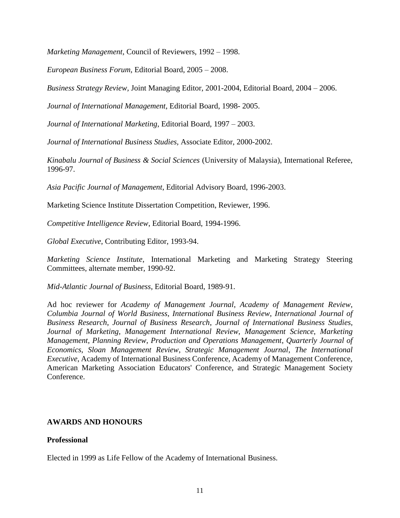*Marketing Management*, Council of Reviewers, 1992 – 1998.

*European Business Forum*, Editorial Board, 2005 – 2008.

*Business Strategy Review,* Joint Managing Editor, 2001-2004, Editorial Board, 2004 – 2006.

*Journal of International Management*, Editorial Board, 1998- 2005.

*Journal of International Marketing*, Editorial Board, 1997 – 2003.

*Journal of International Business Studies,* Associate Editor, 2000-2002.

*Kinabalu Journal of Business & Social Sciences* (University of Malaysia), International Referee, 1996-97.

*Asia Pacific Journal of Management*, Editorial Advisory Board, 1996-2003.

Marketing Science Institute Dissertation Competition, Reviewer, 1996.

*Competitive Intelligence Review*, Editorial Board, 1994-1996.

*Global Executive*, Contributing Editor, 1993-94.

*Marketing Science Institute*, International Marketing and Marketing Strategy Steering Committees, alternate member, 1990-92.

*Mid-Atlantic Journal of Business*, Editorial Board, 1989-91.

Ad hoc reviewer for *Academy of Management Journal*, *Academy of Management Review*, *Columbia Journal of World Business*, *International Business Review*, *International Journal of Business Research*, *Journal of Business Research*, *Journal of International Business Studies*, *Journal of Marketing*, *Management International Review*, *Management Science*, *Marketing Management*, *Planning Review*, *Production and Operations Management*, *Quarterly Journal of Economics*, *Sloan Management Review*, *Strategic Management Journal*, *The International Executive*, Academy of International Business Conference, Academy of Management Conference, American Marketing Association Educators' Conference, and Strategic Management Society Conference.

#### **AWARDS AND HONOURS**

#### **Professional**

Elected in 1999 as Life Fellow of the Academy of International Business.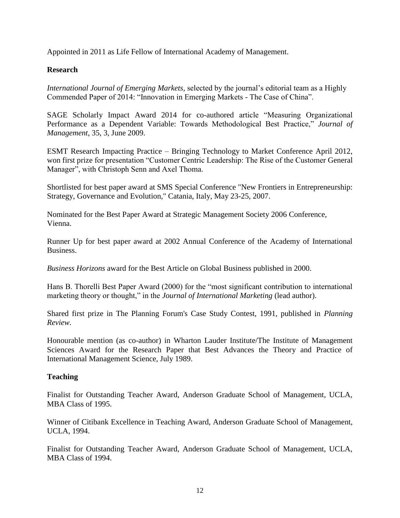Appointed in 2011 as Life Fellow of International Academy of Management.

# **Research**

*International Journal of Emerging Markets,* selected by the journal's editorial team as a Highly Commended Paper of 2014: "Innovation in Emerging Markets - The Case of China".

SAGE Scholarly Impact Award 2014 for co-authored article "Measuring Organizational Performance as a Dependent Variable: Towards Methodological Best Practice," *Journal of Management*, 35, 3, June 2009.

ESMT Research Impacting Practice – Bringing Technology to Market Conference April 2012, won first prize for presentation "Customer Centric Leadership: The Rise of the Customer General Manager", with Christoph Senn and Axel Thoma.

Shortlisted for best paper award at SMS Special Conference "New Frontiers in Entrepreneurship: Strategy, Governance and Evolution," Catania, Italy, May 23-25, 2007.

Nominated for the Best Paper Award at Strategic Management Society 2006 Conference, Vienna.

Runner Up for best paper award at 2002 Annual Conference of the Academy of International Business.

*Business Horizons* award for the Best Article on Global Business published in 2000.

Hans B. Thorelli Best Paper Award (2000) for the "most significant contribution to international marketing theory or thought," in the *Journal of International Marketing* (lead author).

Shared first prize in The Planning Forum's Case Study Contest, 1991, published in *Planning Review.*

Honourable mention (as co-author) in Wharton Lauder Institute/The Institute of Management Sciences Award for the Research Paper that Best Advances the Theory and Practice of International Management Science, July 1989.

#### **Teaching**

Finalist for Outstanding Teacher Award, Anderson Graduate School of Management, UCLA, MBA Class of 1995.

Winner of Citibank Excellence in Teaching Award, Anderson Graduate School of Management, UCLA, 1994.

Finalist for Outstanding Teacher Award, Anderson Graduate School of Management, UCLA, MBA Class of 1994.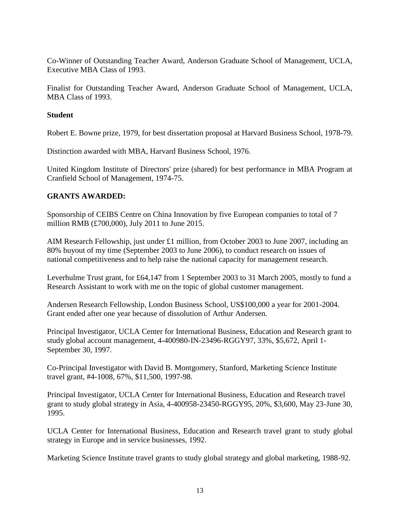Co-Winner of Outstanding Teacher Award, Anderson Graduate School of Management, UCLA, Executive MBA Class of 1993.

Finalist for Outstanding Teacher Award, Anderson Graduate School of Management, UCLA, MBA Class of 1993.

# **Student**

Robert E. Bowne prize, 1979, for best dissertation proposal at Harvard Business School, 1978-79.

Distinction awarded with MBA, Harvard Business School, 1976.

United Kingdom Institute of Directors' prize (shared) for best performance in MBA Program at Cranfield School of Management, 1974-75.

# **GRANTS AWARDED:**

Sponsorship of CEIBS Centre on China Innovation by five European companies to total of 7 million RMB (£700,000), July 2011 to June 2015.

AIM Research Fellowship, just under £1 million, from October 2003 to June 2007, including an 80% buyout of my time (September 2003 to June 2006), to conduct research on issues of national competitiveness and to help raise the national capacity for management research.

Leverhulme Trust grant, for £64,147 from 1 September 2003 to 31 March 2005, mostly to fund a Research Assistant to work with me on the topic of global customer management.

Andersen Research Fellowship, London Business School, US\$100,000 a year for 2001-2004. Grant ended after one year because of dissolution of Arthur Andersen.

Principal Investigator, UCLA Center for International Business, Education and Research grant to study global account management, 4-400980-IN-23496-RGGY97, 33%, \$5,672, April 1- September 30, 1997.

Co-Principal Investigator with David B. Montgomery, Stanford, Marketing Science Institute travel grant, #4-1008, 67%, \$11,500, 1997-98.

Principal Investigator, UCLA Center for International Business, Education and Research travel grant to study global strategy in Asia, 4-400958-23450-RGGY95, 20%, \$3,600, May 23-June 30, 1995.

UCLA Center for International Business, Education and Research travel grant to study global strategy in Europe and in service businesses, 1992.

Marketing Science Institute travel grants to study global strategy and global marketing, 1988-92.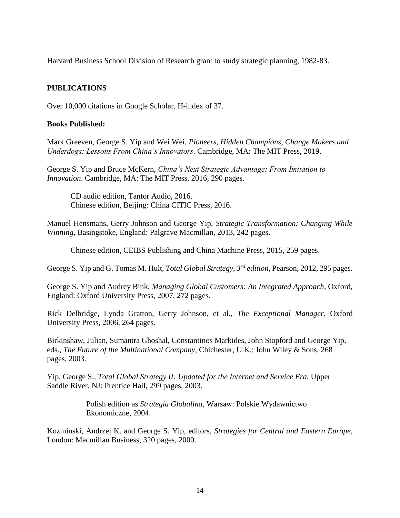Harvard Business School Division of Research grant to study strategic planning, 1982-83.

# **PUBLICATIONS**

Over 10,000 citations in Google Scholar, H-index of 37.

#### **Books Published:**

Mark Greeven, George S. Yip and Wei Wei, *Pioneers, Hidden Champions, Change Makers and Underdogs: Lessons From China's Innovators.* Cambridge, MA: The MIT Press, 2019.

George S. Yip and Bruce McKern, *China's Next Strategic Advantage: From Imitation to Innovation*. Cambridge, MA: The MIT Press, 2016, 290 pages.

CD audio edition, Tantor Audio, 2016. Chinese edition, Beijing: China CITIC Press, 2016.

Manuel Hensmans, Gerry Johnson and George Yip, *Strategic Transformation: Changing While Winning*, Basingstoke, England: Palgrave Macmillan, 2013, 242 pages.

Chinese edition, CEIBS Publishing and China Machine Press, 2015, 259 pages.

George S. Yip and G. Tomas M. Hult, *Total Global Strategy, 3rd edition,* Pearson, 2012, 295 pages.

George S. Yip and Audrey Bink, *Managing Global Customers: An Integrated Approach*, Oxford, England: Oxford University Press, 2007, 272 pages.

Rick Delbridge, Lynda Gratton, Gerry Johnson, et al., *The Exceptional Manager*, Oxford University Press, 2006, 264 pages.

Birkinshaw, Julian, Sumantra Ghoshal, Constantinos Markides, John Stopford and George Yip, eds., *The Future of the Multinational Company*, Chichester, U.K.: John Wiley & Sons, 268 pages, 2003.

Yip, George S., *Total Global Strategy II: Updated for the Internet and Service Era*, Upper Saddle River, NJ: Prentice Hall, 299 pages, 2003.

> Polish edition as *Strategia Globalina*, Warsaw: Polskie Wydawnictwo Ekonomiczne, 2004.

Kozminski, Andrzej K. and George S. Yip, editors, *Strategies for Central and Eastern Europe*, London: Macmillan Business, 320 pages, 2000.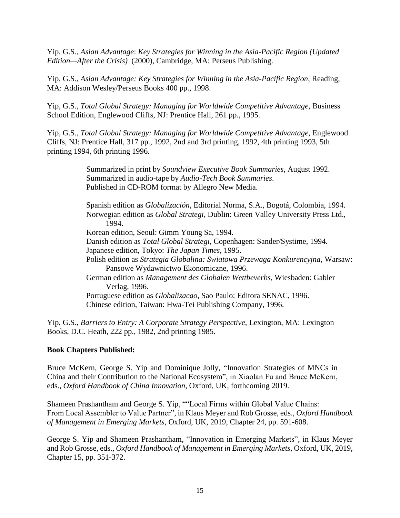Yip, G.S., *Asian Advantage*: *Key Strategies for Winning in the Asia-Pacific Region (Updated Edition—After the Crisis)* (2000), Cambridge, MA: Perseus Publishing.

Yip, G.S., *Asian Advantage: Key Strategies for Winning in the Asia-Pacific Region*, Reading, MA: Addison Wesley/Perseus Books 400 pp., 1998.

Yip, G.S., *Total Global Strategy: Managing for Worldwide Competitive Advantage*, Business School Edition, Englewood Cliffs, NJ: Prentice Hall, 261 pp., 1995.

Yip, G.S., *Total Global Strategy: Managing for Worldwide Competitive Advantage*, Englewood Cliffs, NJ: Prentice Hall, 317 pp., 1992, 2nd and 3rd printing, 1992, 4th printing 1993, 5th printing 1994, 6th printing 1996.

> Summarized in print by *Soundview Executive Book Summaries*, August 1992. Summarized in audio-tape by *Audio-Tech Book Summaries*. Published in CD-ROM format by Allegro New Media.

Spanish edition as *Globalización*, Editorial Norma, S.A., Bogotá, Colombia, 1994. Norwegian edition as *Global Strategi*, Dublin: Green Valley University Press Ltd., 1994.

Korean edition, Seoul: Gimm Young Sa, 1994.

Danish edition as *Total Global Strategi*, Copenhagen: Sander/Systime, 1994.

Japanese edition, Tokyo: *The Japan Times*, 1995.

Polish edition as *Strategia Globalina: Swiatowa Przewaga Konkurencyjna*, Warsaw: Pansowe Wydawnictwo Ekonomiczne, 1996.

German edition as *Management des Globalen Wettbeverbs*, Wiesbaden: Gabler Verlag, 1996.

Portuguese edition as *Globalizacao*, Sao Paulo: Editora SENAC, 1996. Chinese edition, Taiwan: Hwa-Tei Publishing Company, 1996.

Yip, G.S., *Barriers to Entry: A Corporate Strategy Perspective*, Lexington, MA: Lexington Books, D.C. Heath, 222 pp., 1982, 2nd printing 1985.

# **Book Chapters Published:**

Bruce McKern, George S. Yip and Dominique Jolly, "Innovation Strategies of MNCs in China and their Contribution to the National Ecosystem", in Xiaolan Fu and Bruce McKern, eds., *Oxford Handbook of China Innovation*, Oxford, UK, forthcoming 2019.

Shameen Prashantham and George S. Yip, ""Local Firms within Global Value Chains: From Local Assembler to Value Partner", in Klaus Meyer and Rob Grosse, eds., *Oxford Handbook of Management in Emerging Markets*, Oxford, UK, 2019, Chapter 24, pp. 591-608.

George S. Yip and Shameen Prashantham, "Innovation in Emerging Markets", in Klaus Meyer and Rob Grosse, eds., *Oxford Handbook of Management in Emerging Markets*, Oxford, UK, 2019, Chapter 15, pp. 351-372.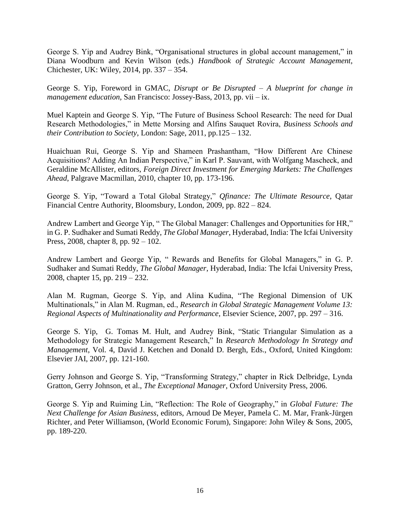George S. Yip and Audrey Bink, "Organisational structures in global account management," in Diana Woodburn and Kevin Wilson (eds.) *Handbook of Strategic Account Management*, Chichester, UK: Wiley, 2014, pp. 337 – 354.

George S. Yip, Foreword in GMAC, *Disrupt or Be Disrupted – A blueprint for change in management education,* San Francisco: Jossey-Bass, 2013, pp. vii – ix.

Muel Kaptein and George S. Yip, "The Future of Business School Research: The need for Dual Research Methodologies," in Mette Morsing and Alfins Sauquet Rovira, *Business Schools and their Contribution to Society*, London: Sage, 2011, pp.125 – 132.

Huaichuan Rui, George S. Yip and Shameen Prashantham, "How Different Are Chinese Acquisitions? Adding An Indian Perspective," in Karl P. Sauvant, with Wolfgang Mascheck, and Geraldine McAllister, editors, *Foreign Direct Investment for Emerging Markets: The Challenges Ahead*, Palgrave Macmillan, 2010, chapter 10, pp. 173-196.

George S. Yip, "Toward a Total Global Strategy," *Qfinance: The Ultimate Resource*, Qatar Financial Centre Authority, Bloomsbury, London, 2009, pp. 822 – 824.

Andrew Lambert and George Yip, " The Global Manager: Challenges and Opportunities for HR," in G. P. Sudhaker and Sumati Reddy, *The Global Manager*, Hyderabad, India: The Icfai University Press, 2008, chapter 8, pp. 92 – 102.

Andrew Lambert and George Yip, " Rewards and Benefits for Global Managers," in G. P. Sudhaker and Sumati Reddy, *The Global Manager*, Hyderabad, India: The Icfai University Press, 2008, chapter 15, pp. 219 – 232.

Alan M. Rugman, George S. Yip, and Alina Kudina, "The Regional Dimension of UK Multinationals," in Alan M. Rugman, ed., *Research in Global Strategic Management Volume 13: Regional Aspects of Multinationality and Performance*, Elsevier Science, 2007, pp. 297 – 316.

George S. Yip, G. Tomas M. Hult, and Audrey Bink, "Static Triangular Simulation as a Methodology for Strategic Management Research," In *[Research Methodology In Strategy and](http://www.elsevier.com/wps/product/cws_home/705702)  [Management](http://www.elsevier.com/wps/product/cws_home/705702)*, Vol. 4, David J. Ketchen and Donald D. Bergh, Eds., Oxford, United Kingdom: Elsevier JAI, 2007, pp. 121-160.

Gerry Johnson and George S. Yip, "Transforming Strategy," chapter in Rick Delbridge, Lynda Gratton, Gerry Johnson, et al., *The Exceptional Manager*, Oxford University Press, 2006.

George S. Yip and Ruiming Lin, "Reflection: The Role of Geography," in *Global Future: The Next Challenge for Asian Business*, editors, Arnoud De Meyer, Pamela C. M. Mar, Frank-Jürgen Richter, and Peter Williamson, (World Economic Forum), Singapore: John Wiley & Sons, 2005, pp. 189-220.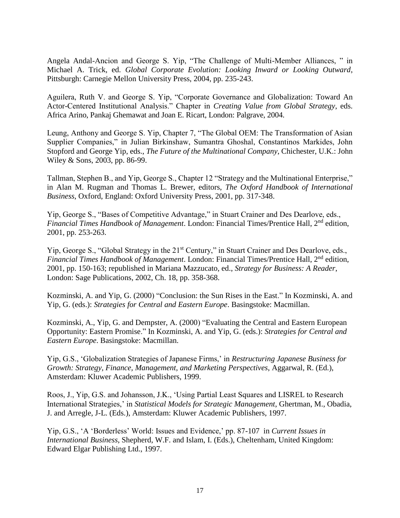Angela Andal-Ancion and George S. Yip, "The Challenge of Multi-Member Alliances, " in Michael A. Trick, ed. *Global Corporate Evolution: Looking Inward or Looking Outward*, Pittsburgh: Carnegie Mellon University Press, 2004, pp. 235-243.

Aguilera, Ruth V. and George S. Yip, "Corporate Governance and Globalization: Toward An Actor-Centered Institutional Analysis." Chapter in *Creating Value from Global Strategy*, eds. Africa Arino, Pankaj Ghemawat and Joan E. Ricart, London: Palgrave, 2004.

Leung, Anthony and George S. Yip, Chapter 7, "The Global OEM: The Transformation of Asian Supplier Companies," in Julian Birkinshaw, Sumantra Ghoshal, Constantinos Markides, John Stopford and George Yip, eds., *The Future of the Multinational Company*, Chichester, U.K.: John Wiley & Sons, 2003, pp. 86-99.

Tallman, Stephen B., and Yip, George S., Chapter 12 "Strategy and the Multinational Enterprise," in Alan M. Rugman and Thomas L. Brewer, editors, *The Oxford Handbook of International Business*, Oxford, England: Oxford University Press, 2001, pp. 317-348.

Yip, George S., "Bases of Competitive Advantage," in Stuart Crainer and Des Dearlove, eds., *Financial Times Handbook of Management*. London: Financial Times/Prentice Hall, 2<sup>nd</sup> edition, 2001, pp. 253-263.

Yip, George S., "Global Strategy in the 21<sup>st</sup> Century," in Stuart Crainer and Des Dearlove, eds., *Financial Times Handbook of Management*. London: Financial Times/Prentice Hall, 2<sup>nd</sup> edition, 2001, pp. 150-163; republished in Mariana Mazzucato, ed., *Strategy for Business: A Reader*, London: Sage Publications, 2002, Ch. 18, pp. 358-368.

Kozminski, A. and Yip, G. (2000) "Conclusion: the Sun Rises in the East." In Kozminski, A. and Yip, G. (eds.): *Strategies for Central and Eastern Europe*. Basingstoke: Macmillan.

Kozminski, A., Yip, G. and Dempster, A. (2000) "Evaluating the Central and Eastern European Opportunity: Eastern Promise." In Kozminski, A. and Yip, G. (eds.): *Strategies for Central and Eastern Europe*. Basingstoke: Macmillan.

Yip, G.S., 'Globalization Strategies of Japanese Firms,' in *Restructuring Japanese Business for Growth: Strategy, Finance, Management, and Marketing Perspectives*, Aggarwal, R. (Ed.), Amsterdam: Kluwer Academic Publishers, 1999.

Roos, J., Yip, G.S. and Johansson, J.K., 'Using Partial Least Squares and LISREL to Research International Strategies,' in *Statistical Models for Strategic Management*, Ghertman, M., Obadia, J. and Arregle, J-L. (Eds.), Amsterdam: Kluwer Academic Publishers, 1997.

Yip, G.S., 'A 'Borderless' World: Issues and Evidence,' pp. 87-107 in *Current Issues in International Business*, Shepherd, W.F. and Islam, I. (Eds.), Cheltenham, United Kingdom: Edward Elgar Publishing Ltd., 1997.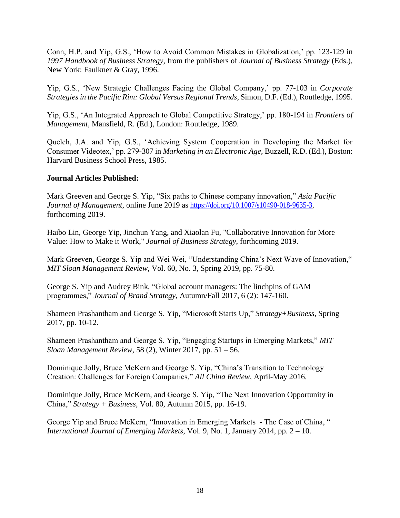Conn, H.P. and Yip, G.S., 'How to Avoid Common Mistakes in Globalization,' pp. 123-129 in *1997 Handbook of Business Strategy*, from the publishers of *Journal of Business Strategy* (Eds.), New York: Faulkner & Gray, 1996.

Yip, G.S., 'New Strategic Challenges Facing the Global Company,' pp. 77-103 in *Corporate Strategies in the Pacific Rim: Global Versus Regional Trends*, Simon, D.F. (Ed.), Routledge, 1995.

Yip, G.S., 'An Integrated Approach to Global Competitive Strategy,' pp. 180-194 in *Frontiers of Management*, Mansfield, R. (Ed.), London: Routledge, 1989.

Quelch, J.A. and Yip, G.S., 'Achieving System Cooperation in Developing the Market for Consumer Videotex,' pp. 279-307 in *Marketing in an Electronic Age*, Buzzell, R.D. (Ed.), Boston: Harvard Business School Press, 1985.

# **Journal Articles Published:**

Mark Greeven and George S. Yip, "Six paths to Chinese company innovation," *Asia Pacific Journal of Management*, online June 2019 as [https://doi.org/10.1007/s10490-018-9635-3,](https://doi.org/10.1007/s10490-018-9635-3) forthcoming 2019.

Haibo Lin, George Yip, Jinchun Yang, and Xiaolan Fu, "Collaborative Innovation for More Value: How to Make it Work," *Journal of Business Strategy*, forthcoming 2019.

Mark Greeven, George S. Yip and Wei Wei, "Understanding China's Next Wave of Innovation," *MIT Sloan Management Review*, Vol. 60, No. 3, Spring 2019, pp. 75-80.

George S. Yip and Audrey Bink, "Global account managers: The linchpins of GAM programmes," *Journal of Brand Strategy*, Autumn/Fall 2017, 6 (2): 147-160.

Shameen Prashantham and George S. Yip, "Microsoft Starts Up," *Strategy+Business*, Spring 2017, pp. 10-12.

Shameen Prashantham and George S. Yip, "Engaging Startups in Emerging Markets," *MIT Sloan Management Review*, 58 (2), Winter 2017, pp. 51 – 56.

Dominique Jolly, Bruce McKern and George S. Yip, "China's Transition to Technology Creation: Challenges for Foreign Companies," *All China Review*, April-May 2016.

Dominique Jolly, Bruce McKern, and George S. Yip, "The Next Innovation Opportunity in China," *Strategy + Business*, Vol. 80, Autumn 2015, pp. 16-19.

George Yip and Bruce McKern, "Innovation in Emerging Markets - The Case of China, " *International Journal of Emerging Markets*, Vol. 9, No. 1, January 2014, pp. 2 – 10.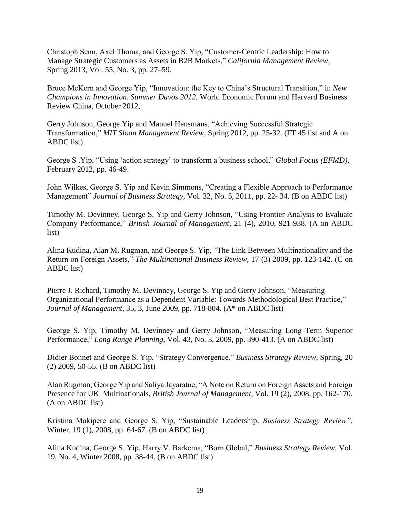Christoph Senn, Axel Thoma, and George S. Yip, "Customer-Centric Leadership: How to Manage Strategic Customers as Assets in B2B Markets," *California Management Review*, Spring 2013, Vol. 55, No. 3, pp. 27–59.

Bruce McKern and George Yip, "Innovation: the Key to China's Structural Transition," in *New Champions in Innovation. Summer Davos 2012.* World Economic Forum and Harvard Business Review China, October 2012,

Gerry Johnson, George Yip and Manuel Hensmans, "Achieving Successful Strategic Transformation," *MIT Sloan Management Review*, Spring 2012, pp. 25-32. (FT 45 list and A on ABDC list)

George S .Yip, "Using 'action strategy' to transform a business school," *Global Focus (EFMD)*, February 2012, pp. 46-49.

John Wilkes, George S. Yip and Kevin Simmons, "Creating a Flexible Approach to Performance Management" *Journal of Business Strategy,* Vol. 32, No. 5, 2011, pp. 22- 34. (B on ABDC list)

Timothy M. Devinney, George S. Yip and Gerry Johnson, "Using Frontier Analysis to Evaluate Company Performance," *British Journal of Management*, 21 (4), 2010, 921-938. (A on ABDC list)

Alina Kudina, Alan M. Rugman, and George S. Yip, "The Link Between Multinationality and the Return on Foreign Assets," *The Multinational Business Review,* 17 (3) 2009, pp. 123-142. (C on ABDC list)

Pierre J. Richard, Timothy M. Devinney, George S. Yip and Gerry Johnson, "Measuring Organizational Performance as a Dependent Variable: Towards Methodological Best Practice," *Journal of Management*, 35, 3, June 2009, pp. 718-804. (A\* on ABDC list)

George S. Yip, Timothy M. Devinney and Gerry Johnson, "Measuring Long Term Superior Performance," *Long Range Planning,* Vol. 43, No. 3, 2009, pp. 390-413. (A on ABDC list)

Didier Bonnet and George S. Yip, "Strategy Convergence," *Business Strategy Review,* Spring, 20 (2) 2009, 50-55. (B on ABDC list)

Alan Rugman, George Yip and Saliya Jayaratne, "A Note on Return on Foreign Assets and Foreign Presence for UK Multinationals, *British Journal of Management*, Vol. 19 (2), 2008, pp. 162-170. (A on ABDC list)

Kristina Makipere and George S. Yip, "Sustainable Leadership, *Business Strategy Review",* Winter, 19 (1), 2008, pp. 64-67. (B on ABDC list)

Alina Kudina, George S. Yip. Harry V. Barkema, "Born Global," *Business Strategy Review,* Vol. 19, No. 4, Winter 2008, pp. 38-44. (B on ABDC list)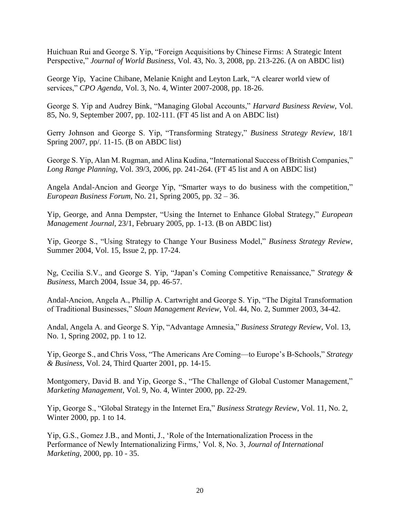Huichuan Rui and George S. Yip, "Foreign Acquisitions by Chinese Firms: A Strategic Intent Perspective," *Journal of World Business*, Vol. 43, No. 3, 2008, pp. 213-226. (A on ABDC list)

George Yip, Yacine Chibane, Melanie Knight and Leyton Lark, "A clearer world view of services," *CPO Agenda*, Vol. 3, No. 4, Winter 2007-2008, pp. 18-26.

George S. Yip and Audrey Bink, "Managing Global Accounts," *Harvard Business Review*, Vol. 85, No. 9, September 2007, pp. 102-111. (FT 45 list and A on ABDC list)

Gerry Johnson and George S. Yip, "Transforming Strategy," *Business Strategy Review,* 18/1 Spring 2007*,* pp/. 11-15. (B on ABDC list)

George S. Yip, Alan M. Rugman, and Alina Kudina, "International Success of British Companies," *Long Range Planning*, Vol. 39/3, 2006, pp. 241-264. (FT 45 list and A on ABDC list)

Angela Andal-Ancion and George Yip, "Smarter ways to do business with the competition," *European Business Forum*, No. 21, Spring 2005, pp. 32 – 36.

Yip, George, and Anna Dempster, "Using the Internet to Enhance Global Strategy," *European Management Journal*, 23/1, February 2005, pp. 1-13. (B on ABDC list)

Yip, George S., "Using Strategy to Change Your Business Model," *Business Strategy Review*, Summer 2004, Vol. 15, Issue 2, pp. 17-24.

Ng, Cecilia S.V., and George S. Yip, "Japan's Coming Competitive Renaissance," *Strategy & Business*, March 2004, Issue 34, pp. 46-57.

Andal-Ancion, Angela A., Phillip A. Cartwright and George S. Yip, "The Digital Transformation of Traditional Businesses," *Sloan Management Review*, Vol. 44, No. 2, Summer 2003, 34-42.

Andal, Angela A. and George S. Yip, "Advantage Amnesia," *Business Strategy Review*, Vol. 13, No. 1, Spring 2002, pp. 1 to 12.

Yip, George S., and Chris Voss, "The Americans Are Coming—to Europe's B-Schools," *Strategy & Business*, Vol. 24, Third Quarter 2001, pp. 14-15.

Montgomery, David B. and Yip, George S., "The Challenge of Global Customer Management," *Marketing Management*, Vol. 9, No. 4, Winter 2000, pp. 22-29.

Yip, George S., "Global Strategy in the Internet Era," *Business Strategy Review*, Vol. 11, No. 2, Winter 2000, pp. 1 to 14.

Yip, G.S., Gomez J.B., and Monti, J., 'Role of the Internationalization Process in the Performance of Newly Internationalizing Firms,' Vol. 8, No. 3, *Journal of International Marketing*, 2000, pp. 10 - 35.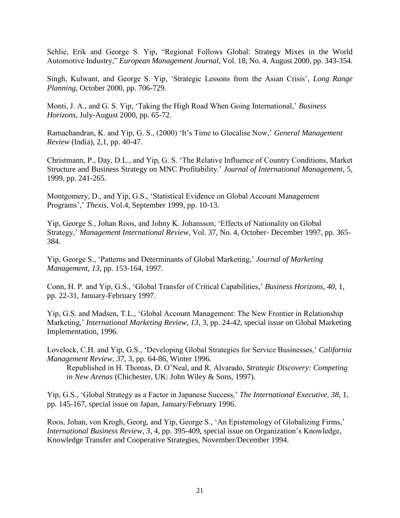Schlie, Erik and George S. Yip, "Regional Follows Global: Strategy Mixes in the World Automotive Industry," *European Management Journal*, Vol. 18, No. 4, August 2000, pp. 343-354.

Singh, Kulwant, and George S. Yip, 'Strategic Lessons from the Asian Crisis', *Long Range Planning*, October 2000, pp. 706-729.

Monti, J. A., and G. S. Yip, 'Taking the High Road When Going International,' *Business Horizons*, July-August 2000, pp. 65-72.

Ramachandran, K. and Yip, G. S., (2000) 'It's Time to Glocalise Now,' *General Management Review* (India), 2,1, pp. 40-47.

Christmann, P., Day, D.L., and Yip, G. S. 'The Relative Influence of Country Conditions, Market Structure and Business Strategy on MNC Profitability.' *Journal of International Management*, 5, 1999, pp. 241-265.

Montgomery, D., and Yip, G.S., 'Statistical Evidence on Global Account Management Programs',' *Thexis*, Vol.4, September 1999, pp. 10-13.

Yip, George S., Johan Roos, and Johny K. Johansson, 'Effects of Nationality on Global Strategy,' *Management International Review*, Vol. 37, No. 4, October- December 1997, pp. 365- 384.

Yip, George S., 'Patterns and Determinants of Global Marketing,' *Journal of Marketing Management*, *13*, pp. 153-164, 1997.

Conn, H. P. and Yip, G.S., 'Global Transfer of Critical Capabilities,' *Business Horizons*, *40*, 1, pp. 22-31, January-February 1997.

Yip, G.S. and Madsen, T.L., 'Global Account Management: The New Frontier in Relationship Marketing,' *International Marketing Review*, *13*, 3, pp. 24-42, special issue on Global Marketing Implementation, 1996.

Lovelock, C.H. and Yip, G.S., 'Developing Global Strategies for Service Businesses,' *California Management Review*, *37*, 3, pp. 64-86, Winter 1996.

Republished in H. Thomas, D. O'Neal, and R. Alvarado, *Strategic Discovery: Competing in New Arenas* (Chichester, UK: John Wiley & Sons, 1997).

Yip, G.S., 'Global Strategy as a Factor in Japanese Success,' *The International Executive*, *38*, 1, pp. 145-167, special issue on Japan, January/February 1996.

Roos, Johan, von Krogh, Georg, and Yip, George S., 'An Epistemology of Globalizing Firms,' *International Business Review*, *3*, 4, pp. 395-409, special issue on Organization's Knowledge, Knowledge Transfer and Cooperative Strategies, November/December 1994.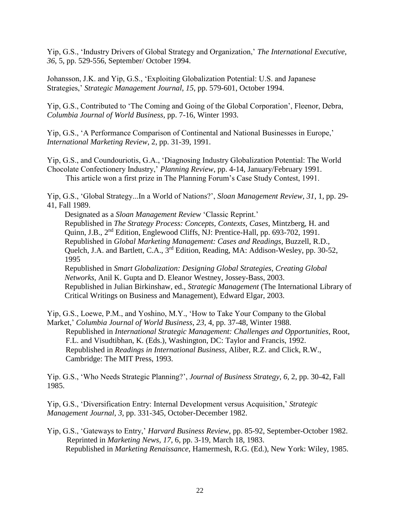Yip, G.S., 'Industry Drivers of Global Strategy and Organization,' *The International Executive*, *36*, 5, pp. 529-556, September/ October 1994.

Johansson, J.K. and Yip, G.S., 'Exploiting Globalization Potential: U.S. and Japanese Strategies,' *Strategic Management Journal*, *15*, pp. 579-601, October 1994.

Yip, G.S., Contributed to 'The Coming and Going of the Global Corporation', Fleenor, Debra, *Columbia Journal of World Business*, pp. 7-16, Winter 1993.

Yip, G.S., 'A Performance Comparison of Continental and National Businesses in Europe,' *International Marketing Review*, 2, pp. 31-39, 1991.

Yip, G.S., and Coundouriotis, G.A., 'Diagnosing Industry Globalization Potential: The World Chocolate Confectionery Industry,' *Planning Review*, pp. 4-14, January/February 1991. This article won a first prize in The Planning Forum's Case Study Contest, 1991.

Yip, G.S., 'Global Strategy...In a World of Nations?', *Sloan Management Review*, *31*, 1, pp. 29- 41, Fall 1989.

Designated as a *Sloan Management Review* 'Classic Reprint.' Republished in *The Strategy Process: Concepts, Contexts, Cases*, Mintzberg, H. and Quinn, J.B., 2nd Edition, Englewood Cliffs, NJ: Prentice-Hall, pp. 693-702, 1991. Republished in *Global Marketing Management: Cases and Readings*, Buzzell, R.D., Quelch, J.A. and Bartlett, C.A., 3rd Edition, Reading, MA: Addison-Wesley, pp. 30-52, 1995

Republished in *Smart Globalization: Designing Global Strategies, Creating Global Networks,* Anil K. Gupta and D. Eleanor Westney, Jossey-Bass, 2003. Republished in Julian Birkinshaw, ed., *Strategic Management* (The International Library of Critical Writings on Business and Management), Edward Elgar, 2003.

Yip, G.S., Loewe, P.M., and Yoshino, M.Y., 'How to Take Your Company to the Global Market,' *Columbia Journal of World Business*, *23*, 4, pp. 37-48, Winter 1988.

Republished in *International Strategic Management: Challenges and Opportunities*, Root, F.L. and Visudtibhan, K. (Eds.), Washington, DC: Taylor and Francis, 1992. Republished in *Readings in International Business*, Aliber, R.Z. and Click, R.W., Cambridge: The MIT Press, 1993.

Yip. G.S., 'Who Needs Strategic Planning?', *Journal of Business Strategy*, *6*, 2, pp. 30-42, Fall 1985.

Yip, G.S., 'Diversification Entry: Internal Development versus Acquisition,' *Strategic Management Journal*, *3*, pp. 331-345, October-December 1982.

Yip, G.S., 'Gateways to Entry,' *Harvard Business Review*, pp. 85-92, September-October 1982. Reprinted in *Marketing News*, *17*, 6, pp. 3-19, March 18, 1983. Republished in *Marketing Renaissance*, Hamermesh, R.G. (Ed.), New York: Wiley, 1985.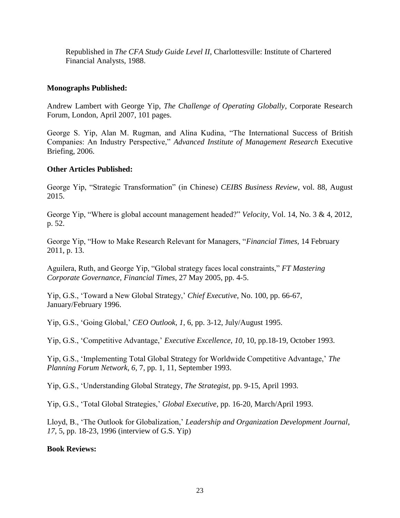Republished in *The CFA Study Guide Level II*, Charlottesville: Institute of Chartered Financial Analysts, 1988.

# **Monographs Published:**

Andrew Lambert with George Yip, *The Challenge of Operating Globally*, Corporate Research Forum, London, April 2007, 101 pages.

George S. Yip, Alan M. Rugman, and Alina Kudina, "The International Success of British Companies: An Industry Perspective," *Advanced Institute of Management Research* Executive Briefing, 2006.

# **Other Articles Published:**

George Yip, "Strategic Transformation" (in Chinese) *CEIBS Business Review*, vol. 88, August 2015.

George Yip, "Where is global account management headed?" *Velocity*, Vol. 14, No. 3 & 4, 2012, p. 52.

George Yip, "How to Make Research Relevant for Managers, "*Financial Times,* 14 February 2011, p. 13.

Aguilera, Ruth, and George Yip, "Global strategy faces local constraints," *FT Mastering Corporate Governance*, *Financial Times*, 27 May 2005, pp. 4-5.

Yip, G.S., 'Toward a New Global Strategy,' *Chief Executive*, No. 100, pp. 66-67, January/February 1996.

Yip, G.S., 'Going Global,' *CEO Outlook*, *1*, 6, pp. 3-12, July/August 1995.

Yip, G.S., 'Competitive Advantage,' *Executive Excellence*, *10*, 10, pp.18-19, October 1993.

Yip, G.S., 'Implementing Total Global Strategy for Worldwide Competitive Advantage,' *The Planning Forum Network*, *6*, 7, pp. 1, 11, September 1993.

Yip, G.S., 'Understanding Global Strategy, *The Strategist*, pp. 9-15, April 1993.

Yip, G.S., 'Total Global Strategies,' *Global Executive*, pp. 16-20, March/April 1993.

Lloyd, B., 'The Outlook for Globalization,' *Leadership and Organization Development Journal*, *17*, 5, pp. 18-23, 1996 (interview of G.S. Yip)

# **Book Reviews:**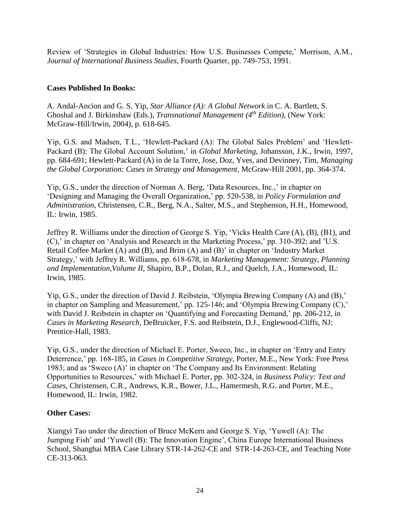Review of 'Strategies in Global Industries: How U.S. Businesses Compete,' Morrison, A.M., *Journal of International Business Studies*, Fourth Quarter, pp. 749-753, 1991.

# **Cases Published In Books:**

A. Andal-Ancion and G. S. Yip, *Star Alliance (A): A Global Network* in C. A. Bartlett, S. Ghoshal and J. Birkinshaw (Eds.), *Transnational Management (4th Edition)*, (New York: McGraw-Hill/Irwin, 2004), p. 618-645.

Yip, G.S. and Madsen, T.L., 'Hewlett-Packard (A): The Global Sales Problem' and 'Hewlett-Packard (B): The Global Account Solution,' in *Global Marketing*, Johansson, J.K., Irwin, 1997, pp. 684-691; Hewlett-Packard (A) in de la Torre, Jose, Doz, Yves, and Devinney, Tim, *Managing the Global Corporation: Cases in Strategy and Management,* McGraw-Hill 2001, pp. 364-374.

Yip, G.S., under the direction of Norman A. Berg, 'Data Resources, Inc.,' in chapter on 'Designing and Managing the Overall Organization,' pp. 520-538, in *Policy Formulation and Administration*, Christensen, C.R., Berg, N.A., Salter, M.S., and Stephenson, H.H., Homewood, IL: Irwin, 1985.

Jeffrey R. Williams under the direction of George S. Yip, 'Vicks Health Care (A), (B), (B1), and (C),' in chapter on 'Analysis and Research in the Marketing Process,' pp. 310-392; and 'U.S. Retail Coffee Market (A) and (B), and Brim (A) and (B)' in chapter on 'Industry Market Strategy,' with Jeffrey R. Williams, pp. 618-678, in *Marketing Management: Strategy, Planning and Implementation,Volume II*, Shapiro, B.P., Dolan, R.J., and Quelch, J.A., Homewood, IL: Irwin, 1985.

Yip, G.S., under the direction of David J. Reibstein, 'Olympia Brewing Company (A) and (B),' in chapter on Sampling and Measurement,' pp. 125-146; and 'Olympia Brewing Company (C),' with David J. Reibstein in chapter on 'Quantifying and Forecasting Demand,' pp. 206-212, in *Cases in Marketing Research*, DeBruicker, F.S. and Reibstein, D.J., Englewood-Cliffs, NJ: Prentice-Hall, 1983.

Yip, G.S., under the direction of Michael E. Porter, Sweco, Inc., in chapter on 'Entry and Entry Deterrence,' pp. 168-185, in *Cases in Competitive Strategy*, Porter, M.E., New York: Free Press 1983; and as 'Sweco (A)' in chapter on 'The Company and Its Environment: Relating Opportunities to Resources,' with Michael E. Porter, pp. 302-324, in *Business Policy: Text and Cases*, Christensen, C.R., Andrews, K.R., Bower, J.L., Hamermesh, R.G. and Porter, M.E., Homewood, IL: Irwin, 1982.

#### **Other Cases:**

Xiangyi Tao under the direction of Bruce McKern and George S. Yip, 'Yuwell (A): The Jumping Fish' and 'Yuwell (B): The Innovation Engine', China Europe International Business School, Shanghai MBA Case Library STR-14-262-CE and STR-14-263-CE, and Teaching Note CE-313-063.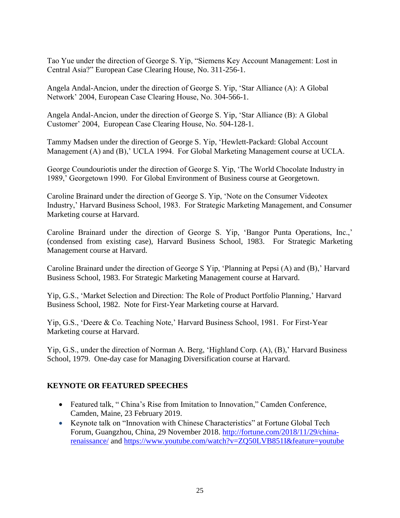Tao Yue under the direction of George S. Yip, "Siemens Key Account Management: Lost in Central Asia?" European Case Clearing House, No. 311-256-1.

Angela Andal-Ancion, under the direction of George S. Yip, 'Star Alliance (A): A Global Network' 2004, European Case Clearing House, No. 304-566-1.

Angela Andal-Ancion, under the direction of George S. Yip, 'Star Alliance (B): A Global Customer' 2004, European Case Clearing House, No. 504-128-1.

Tammy Madsen under the direction of George S. Yip, 'Hewlett-Packard: Global Account Management (A) and (B),' UCLA 1994. For Global Marketing Management course at UCLA.

George Coundouriotis under the direction of George S. Yip, 'The World Chocolate Industry in 1989,' Georgetown 1990. For Global Environment of Business course at Georgetown.

Caroline Brainard under the direction of George S. Yip, 'Note on the Consumer Videotex Industry,' Harvard Business School, 1983. For Strategic Marketing Management, and Consumer Marketing course at Harvard.

Caroline Brainard under the direction of George S. Yip, 'Bangor Punta Operations, Inc.,' (condensed from existing case), Harvard Business School, 1983. For Strategic Marketing Management course at Harvard.

Caroline Brainard under the direction of George S Yip, 'Planning at Pepsi (A) and (B),' Harvard Business School, 1983. For Strategic Marketing Management course at Harvard.

Yip, G.S., 'Market Selection and Direction: The Role of Product Portfolio Planning,' Harvard Business School, 1982. Note for First-Year Marketing course at Harvard.

Yip, G.S., 'Deere & Co. Teaching Note,' Harvard Business School, 1981. For First-Year Marketing course at Harvard.

Yip, G.S., under the direction of Norman A. Berg, 'Highland Corp. (A), (B),' Harvard Business School, 1979. One-day case for Managing Diversification course at Harvard.

# **KEYNOTE OR FEATURED SPEECHES**

- Featured talk, "China's Rise from Imitation to Innovation," Camden Conference, Camden, Maine, 23 February 2019.
- Keynote talk on "Innovation with Chinese Characteristics" at Fortune Global Tech Forum, Guangzhou, China, 29 November 2018. [http://fortune.com/2018/11/29/china](http://fortune.com/2018/11/29/china-renaissance/)[renaissance/](http://fortune.com/2018/11/29/china-renaissance/) and [https://www.youtube.com/watch?v=ZQ50LVB851I&feature=youtube](https://www.youtube.com/watch?v=ZQ50LVB851I&feature=youtu.be)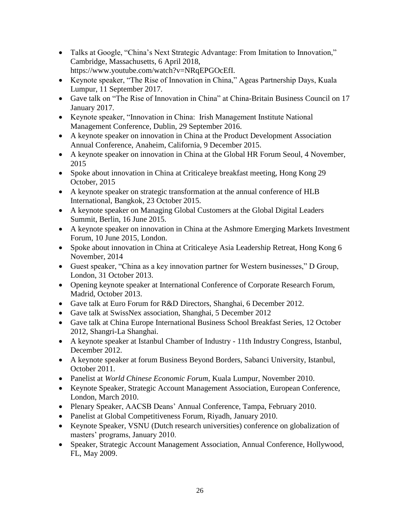- Talks at Google, "China's Next Strategic Advantage: From Imitation to Innovation," Cambridge, Massachusetts, 6 April 2018, https://www.youtube.com/watch?v=NRqEPGOcEfI.
- Keynote speaker, "The Rise of Innovation in China," Ageas Partnership Days, Kuala Lumpur, 11 September 2017.
- Gave talk on "The Rise of Innovation in China" at China-Britain Business Council on 17 January 2017.
- Keynote speaker, "Innovation in China: Irish Management Institute National Management Conference, Dublin, 29 September 2016.
- A keynote speaker on innovation in China at the Product Development Association Annual Conference, Anaheim, California, 9 December 2015.
- A keynote speaker on innovation in China at the Global HR Forum Seoul, 4 November, 2015
- Spoke about innovation in China at Criticaleye breakfast meeting, Hong Kong 29 October, 2015
- A keynote speaker on strategic transformation at the annual conference of HLB International, Bangkok, 23 October 2015.
- A keynote speaker on Managing Global Customers at the Global Digital Leaders Summit, Berlin, 16 June 2015.
- A keynote speaker on innovation in China at the Ashmore Emerging Markets Investment Forum, 10 June 2015, London.
- Spoke about innovation in China at Criticaleye Asia Leadership Retreat, Hong Kong 6 November, 2014
- Guest speaker, "China as a key innovation partner for Western businesses," D Group, London, 31 October 2013.
- Opening keynote speaker at International Conference of Corporate Research Forum, Madrid, October 2013.
- Gave talk at Euro Forum for R&D Directors, Shanghai, 6 December 2012.
- Gave talk at SwissNex association, Shanghai, 5 December 2012
- Gave talk at China Europe International Business School Breakfast Series, 12 October 2012, Shangri-La Shanghai.
- A keynote speaker at Istanbul Chamber of Industry 11th Industry Congress, Istanbul, December 2012.
- A keynote speaker at forum Business Beyond Borders, Sabanci University, Istanbul, October 2011.
- Panelist at *World Chinese Economic Forum*, Kuala Lumpur, November 2010.
- Keynote Speaker, Strategic Account Management Association, European Conference, London, March 2010.
- Plenary Speaker, AACSB Deans' Annual Conference, Tampa, February 2010.
- Panelist at Global Competitiveness Forum, Riyadh, January 2010.
- Keynote Speaker, VSNU (Dutch research universities) conference on globalization of masters' programs, January 2010.
- Speaker, Strategic Account Management Association, Annual Conference, Hollywood, FL, May 2009.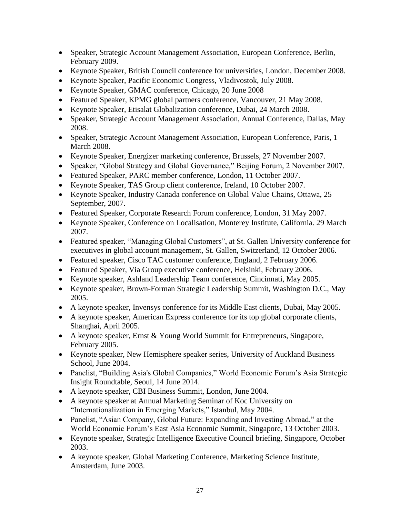- Speaker, Strategic Account Management Association, European Conference, Berlin, February 2009.
- Keynote Speaker, British Council conference for universities, London, December 2008.
- Keynote Speaker, Pacific Economic Congress, Vladivostok, July 2008.
- Keynote Speaker, GMAC conference, Chicago, 20 June 2008
- Featured Speaker, KPMG global partners conference, Vancouver, 21 May 2008.
- Keynote Speaker, Etisalat Globalization conference, Dubai, 24 March 2008.
- Speaker, Strategic Account Management Association, Annual Conference, Dallas, May 2008.
- Speaker, Strategic Account Management Association, European Conference, Paris, 1 March 2008.
- Keynote Speaker, Energizer marketing conference, Brussels, 27 November 2007.
- Speaker, "Global Strategy and Global Governance," Beijing Forum, 2 November 2007.
- Featured Speaker, PARC member conference, London, 11 October 2007.
- Keynote Speaker, TAS Group client conference, Ireland, 10 October 2007.
- Keynote Speaker, Industry Canada conference on Global Value Chains, Ottawa, 25 September, 2007.
- Featured Speaker, Corporate Research Forum conference, London, 31 May 2007.
- Keynote Speaker, Conference on Localisation, Monterey Institute, California. 29 March 2007.
- Featured speaker, "Managing Global Customers", at St. Gallen University conference for executives in global account management, St. Gallen, Switzerland, 12 October 2006.
- Featured speaker, Cisco TAC customer conference, England, 2 February 2006.
- Featured Speaker, Via Group executive conference, Helsinki, February 2006.
- Keynote speaker, Ashland Leadership Team conference, Cincinnati, May 2005.
- Keynote speaker, Brown-Forman Strategic Leadership Summit, Washington D.C., May 2005.
- A keynote speaker, Invensys conference for its Middle East clients, Dubai, May 2005.
- A keynote speaker, American Express conference for its top global corporate clients, Shanghai, April 2005.
- A keynote speaker, Ernst & Young World Summit for Entrepreneurs, Singapore, February 2005.
- Keynote speaker, New Hemisphere speaker series, University of Auckland Business School, June 2004.
- Panelist, "Building Asia's Global Companies," World Economic Forum's Asia Strategic Insight Roundtable, Seoul, 14 June 2014.
- A keynote speaker, CBI Business Summit, London, June 2004.
- A keynote speaker at Annual Marketing Seminar of Koc University on "Internationalization in Emerging Markets," Istanbul, May 2004.
- Panelist, "Asian Company, Global Future: Expanding and Investing Abroad," at the World Economic Forum's East Asia Economic Summit, Singapore, 13 October 2003.
- Keynote speaker, Strategic Intelligence Executive Council briefing, Singapore, October 2003.
- A keynote speaker, Global Marketing Conference, Marketing Science Institute, Amsterdam, June 2003.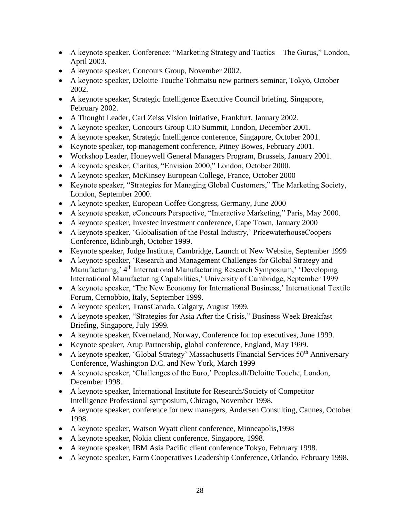- A keynote speaker, Conference: "Marketing Strategy and Tactics—The Gurus," London, April 2003.
- A keynote speaker, Concours Group, November 2002.
- A keynote speaker, Deloitte Touche Tohmatsu new partners seminar, Tokyo, October 2002.
- A keynote speaker, Strategic Intelligence Executive Council briefing, Singapore, February 2002.
- A Thought Leader, Carl Zeiss Vision Initiative, Frankfurt, January 2002.
- A keynote speaker, Concours Group CIO Summit, London, December 2001.
- A keynote speaker, Strategic Intelligence conference, Singapore, October 2001.
- Keynote speaker, top management conference, Pitney Bowes, February 2001.
- Workshop Leader, Honeywell General Managers Program, Brussels, January 2001.
- A keynote speaker, Claritas, "Envision 2000," London, October 2000.
- A keynote speaker, McKinsey European College, France, October 2000
- Keynote speaker, "Strategies for Managing Global Customers," The Marketing Society, London, September 2000.
- A keynote speaker, European Coffee Congress, Germany, June 2000
- A keynote speaker, eConcours Perspective, "Interactive Marketing," Paris, May 2000.
- A keynote speaker, Investec investment conference, Cape Town, January 2000
- A keynote speaker, 'Globalisation of the Postal Industry,' PricewaterhouseCoopers Conference, Edinburgh, October 1999.
- Keynote speaker, Judge Institute, Cambridge, Launch of New Website, September 1999
- A keynote speaker, 'Research and Management Challenges for Global Strategy and Manufacturing,' 4th International Manufacturing Research Symposium,' 'Developing International Manufacturing Capabilities,' University of Cambridge, September 1999
- A keynote speaker, 'The New Economy for International Business,' International Textile Forum, Cernobbio, Italy, September 1999.
- A keynote speaker, TransCanada, Calgary, August 1999.
- A keynote speaker, "Strategies for Asia After the Crisis," Business Week Breakfast Briefing, Singapore, July 1999.
- A keynote speaker, Kverneland, Norway, Conference for top executives, June 1999.
- Keynote speaker, Arup Partnership, global conference, England, May 1999.
- A keynote speaker, 'Global Strategy' Massachusetts Financial Services  $50<sup>th</sup>$  Anniversary Conference, Washington D.C. and New York, March 1999
- A keynote speaker, 'Challenges of the Euro,' Peoplesoft/Deloitte Touche, London, December 1998.
- A keynote speaker, International Institute for Research/Society of Competitor Intelligence Professional symposium, Chicago, November 1998.
- A keynote speaker, conference for new managers, Andersen Consulting, Cannes, October 1998.
- A keynote speaker, Watson Wyatt client conference, Minneapolis,1998
- A keynote speaker, Nokia client conference, Singapore, 1998.
- A keynote speaker, IBM Asia Pacific client conference Tokyo, February 1998.
- A keynote speaker, Farm Cooperatives Leadership Conference, Orlando, February 1998.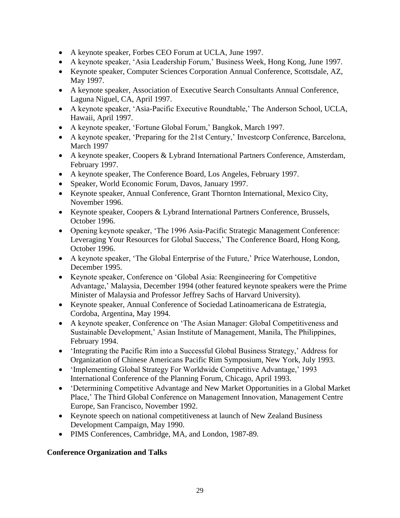- A keynote speaker, Forbes CEO Forum at UCLA, June 1997.
- A keynote speaker, 'Asia Leadership Forum,' Business Week, Hong Kong, June 1997.
- Keynote speaker, Computer Sciences Corporation Annual Conference, Scottsdale, AZ, May 1997.
- A keynote speaker, Association of Executive Search Consultants Annual Conference, Laguna Niguel, CA, April 1997.
- A keynote speaker, 'Asia-Pacific Executive Roundtable,' The Anderson School, UCLA, Hawaii, April 1997.
- A keynote speaker, 'Fortune Global Forum,' Bangkok, March 1997.
- A keynote speaker, 'Preparing for the 21st Century,' Investcorp Conference, Barcelona, March 1997
- A keynote speaker, Coopers & Lybrand International Partners Conference, Amsterdam, February 1997.
- A keynote speaker, The Conference Board, Los Angeles, February 1997.
- Speaker, World Economic Forum, Davos, January 1997.
- Keynote speaker, Annual Conference, Grant Thornton International, Mexico City, November 1996.
- Keynote speaker, Coopers & Lybrand International Partners Conference, Brussels, October 1996.
- Opening keynote speaker, 'The 1996 Asia-Pacific Strategic Management Conference: Leveraging Your Resources for Global Success,' The Conference Board, Hong Kong, October 1996.
- A keynote speaker, 'The Global Enterprise of the Future,' Price Waterhouse, London, December 1995.
- Keynote speaker, Conference on 'Global Asia: Reengineering for Competitive Advantage,' Malaysia, December 1994 (other featured keynote speakers were the Prime Minister of Malaysia and Professor Jeffrey Sachs of Harvard University).
- Keynote speaker, Annual Conference of Sociedad Latinoamericana de Estrategia, Cordoba, Argentina, May 1994.
- A keynote speaker, Conference on 'The Asian Manager: Global Competitiveness and Sustainable Development,' Asian Institute of Management, Manila, The Philippines, February 1994.
- 'Integrating the Pacific Rim into a Successful Global Business Strategy,' Address for Organization of Chinese Americans Pacific Rim Symposium, New York, July 1993.
- 'Implementing Global Strategy For Worldwide Competitive Advantage,' 1993 International Conference of the Planning Forum, Chicago, April 1993.
- 'Determining Competitive Advantage and New Market Opportunities in a Global Market Place,' The Third Global Conference on Management Innovation, Management Centre Europe, San Francisco, November 1992.
- Keynote speech on national competitiveness at launch of New Zealand Business Development Campaign, May 1990.
- PIMS Conferences, Cambridge, MA, and London, 1987-89.

# **Conference Organization and Talks**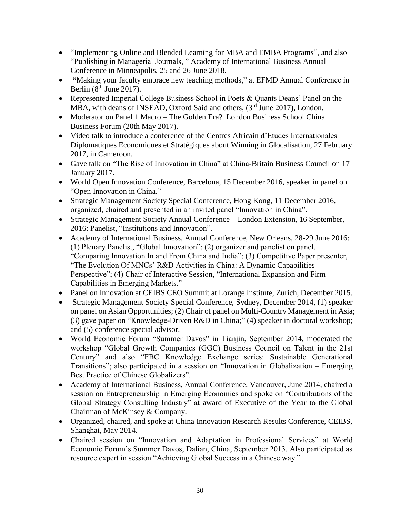- "Implementing Online and Blended Learning for MBA and EMBA Programs", and also "Publishing in Managerial Journals, " Academy of International Business Annual Conference in Minneapolis, 25 and 26 June 2018.
- **"**Making your faculty embrace new teaching methods," at EFMD Annual Conference in Berlin  $(8<sup>th</sup>$  June 2017).
- Represented Imperial College Business School in Poets & Quants Deans' Panel on the MBA, with deans of INSEAD, Oxford Said and others, (3<sup>rd</sup> June 2017), London.
- Moderator on Panel 1 Macro The Golden Era? London Business School China Business Forum (20th May 2017).
- Video talk to introduce a conference of the Centres Africain d'Etudes Internationales Diplomatiques Economiques et Stratégiques about Winning in Glocalisation, 27 February 2017, in Cameroon.
- Gave talk on "The Rise of Innovation in China" at China-Britain Business Council on 17 January 2017.
- World Open Innovation Conference, Barcelona, 15 December 2016, speaker in panel on "Open Innovation in China."
- Strategic Management Society Special Conference, Hong Kong, 11 December 2016, organized, chaired and presented in an invited panel "Innovation in China".
- Strategic Management Society Annual Conference London Extension, 16 September, 2016: Panelist, "Institutions and Innovation".
- Academy of International Business, Annual Conference, New Orleans, 28-29 June 2016: (1) Plenary Panelist, "Global Innovation"; (2) organizer and panelist on panel, "Comparing Innovation In and From China and India"; (3) Competitive Paper presenter, "The Evolution Of MNCs' R&D Activities in China: A Dynamic Capabilities Perspective"; (4) Chair of Interactive Session, "International Expansion and Firm Capabilities in Emerging Markets."
- Panel on Innovation at CEIBS CEO Summit at Lorange Institute, Zurich, December 2015.
- Strategic Management Society Special Conference, Sydney, December 2014, (1) speaker on panel on Asian Opportunities; (2) Chair of panel on Multi-Country Management in Asia; (3) gave paper on "Knowledge-Driven R&D in China;" (4) speaker in doctoral workshop; and (5) conference special advisor.
- World Economic Forum "Summer Davos" in Tianjin, September 2014, moderated the workshop "Global Growth Companies (GGC) Business Council on Talent in the 21st Century" and also "FBC Knowledge Exchange series: Sustainable Generational Transitions"; also participated in a session on "Innovation in Globalization – Emerging Best Practice of Chinese Globalizers".
- Academy of International Business, Annual Conference, Vancouver, June 2014, chaired a session on Entrepreneurship in Emerging Economies and spoke on "Contributions of the Global Strategy Consulting Industry" at award of Executive of the Year to the Global Chairman of McKinsey & Company.
- Organized, chaired, and spoke at China Innovation Research Results Conference, CEIBS, Shanghai, May 2014.
- Chaired session on "Innovation and Adaptation in Professional Services" at World Economic Forum's Summer Davos, Dalian, China, September 2013. Also participated as resource expert in session "Achieving Global Success in a Chinese way."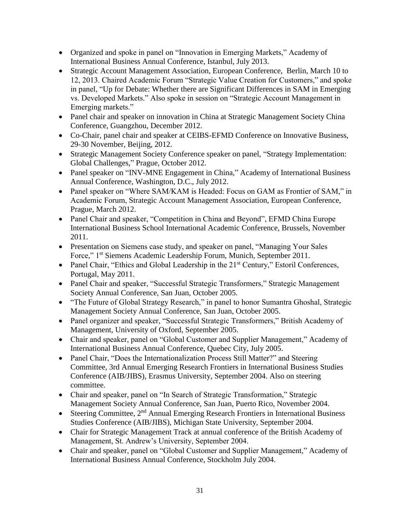- Organized and spoke in panel on "Innovation in Emerging Markets," Academy of International Business Annual Conference, Istanbul, July 2013.
- Strategic Account Management Association, European Conference, Berlin, March 10 to 12, 2013. Chaired Academic Forum "Strategic Value Creation for Customers," and spoke in panel, "Up for Debate: Whether there are Significant Differences in SAM in Emerging vs. Developed Markets." Also spoke in session on "Strategic Account Management in Emerging markets."
- Panel chair and speaker on innovation in China at Strategic Management Society China Conference, Guangzhou, December 2012.
- Co-Chair, panel chair and speaker at CEIBS-EFMD Conference on Innovative Business, 29-30 November, Beijing, 2012.
- Strategic Management Society Conference speaker on panel, "Strategy Implementation: Global Challenges," Prague, October 2012.
- Panel speaker on "INV-MNE Engagement in China," Academy of International Business Annual Conference, Washington, D.C., July 2012.
- Panel speaker on "Where SAM/KAM is Headed: Focus on GAM as Frontier of SAM," in Academic Forum, Strategic Account Management Association, European Conference, Prague, March 2012.
- Panel Chair and speaker, "Competition in China and Beyond", EFMD China Europe International Business School International Academic Conference, Brussels, November 2011.
- Presentation on Siemens case study, and speaker on panel, "Managing Your Sales" Force," 1st Siemens Academic Leadership Forum, Munich, September 2011.
- Panel Chair, "Ethics and Global Leadership in the 21<sup>st</sup> Century," Estoril Conferences, Portugal, May 2011.
- Panel Chair and speaker, "Successful Strategic Transformers," Strategic Management Society Annual Conference, San Juan, October 2005.
- "The Future of Global Strategy Research," in panel to honor Sumantra Ghoshal, Strategic Management Society Annual Conference, San Juan, October 2005.
- Panel organizer and speaker, "Successful Strategic Transformers," British Academy of Management, University of Oxford, September 2005.
- Chair and speaker, panel on "Global Customer and Supplier Management," Academy of International Business Annual Conference, Quebec City, July 2005.
- Panel Chair, "Does the Internationalization Process Still Matter?" and Steering Committee, 3rd Annual Emerging Research Frontiers in International Business Studies Conference (AIB/JIBS), Erasmus University, September 2004. Also on steering committee.
- Chair and speaker, panel on "In Search of Strategic Transformation," Strategic Management Society Annual Conference, San Juan, Puerto Rico, November 2004.
- Steering Committee,  $2<sup>nd</sup>$  Annual Emerging Research Frontiers in International Business Studies Conference (AIB/JIBS), Michigan State University, September 2004.
- Chair for Strategic Management Track at annual conference of the British Academy of Management, St. Andrew's University, September 2004.
- Chair and speaker, panel on "Global Customer and Supplier Management," Academy of International Business Annual Conference, Stockholm July 2004.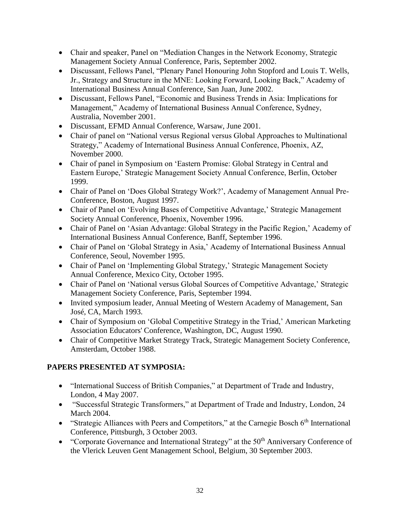- Chair and speaker, Panel on "Mediation Changes in the Network Economy, Strategic Management Society Annual Conference, Paris, September 2002.
- Discussant, Fellows Panel, "Plenary Panel Honouring John Stopford and Louis T. Wells, Jr., Strategy and Structure in the MNE: Looking Forward, Looking Back," Academy of International Business Annual Conference, San Juan, June 2002.
- Discussant, Fellows Panel, "Economic and Business Trends in Asia: Implications for Management," Academy of International Business Annual Conference, Sydney, Australia, November 2001.
- Discussant, EFMD Annual Conference, Warsaw, June 2001.
- Chair of panel on "National versus Regional versus Global Approaches to Multinational Strategy," Academy of International Business Annual Conference, Phoenix, AZ, November 2000.
- Chair of panel in Symposium on 'Eastern Promise: Global Strategy in Central and Eastern Europe,' Strategic Management Society Annual Conference, Berlin, October 1999.
- Chair of Panel on 'Does Global Strategy Work?', Academy of Management Annual Pre-Conference, Boston, August 1997.
- Chair of Panel on 'Evolving Bases of Competitive Advantage,' Strategic Management Society Annual Conference, Phoenix, November 1996.
- Chair of Panel on 'Asian Advantage: Global Strategy in the Pacific Region,' Academy of International Business Annual Conference, Banff, September 1996.
- Chair of Panel on 'Global Strategy in Asia,' Academy of International Business Annual Conference, Seoul, November 1995.
- Chair of Panel on 'Implementing Global Strategy,' Strategic Management Society Annual Conference, Mexico City, October 1995.
- Chair of Panel on 'National versus Global Sources of Competitive Advantage,' Strategic Management Society Conference, Paris, September 1994.
- Invited symposium leader, Annual Meeting of Western Academy of Management, San José, CA, March 1993.
- Chair of Symposium on 'Global Competitive Strategy in the Triad,' American Marketing Association Educators' Conference, Washington, DC, August 1990.
- Chair of Competitive Market Strategy Track, Strategic Management Society Conference, Amsterdam, October 1988.

# **PAPERS PRESENTED AT SYMPOSIA:**

- "International Success of British Companies," at Department of Trade and Industry, London, 4 May 2007.
- "Successful Strategic Transformers," at Department of Trade and Industry, London, 24 March 2004.
- "Strategic Alliances with Peers and Competitors," at the Carnegie Bosch 6<sup>th</sup> International Conference, Pittsburgh, 3 October 2003.
- "Corporate Governance and International Strategy" at the 50<sup>th</sup> Anniversary Conference of the Vlerick Leuven Gent Management School, Belgium, 30 September 2003.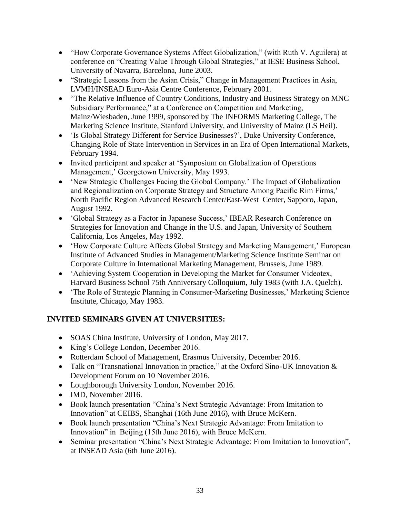- "How Corporate Governance Systems Affect Globalization," (with Ruth V. Aguilera) at conference on "Creating Value Through Global Strategies," at IESE Business School, University of Navarra, Barcelona, June 2003.
- "Strategic Lessons from the Asian Crisis," Change in Management Practices in Asia, LVMH/INSEAD Euro-Asia Centre Conference, February 2001.
- "The Relative Influence of Country Conditions, Industry and Business Strategy on MNC Subsidiary Performance," at a Conference on Competition and Marketing, Mainz/Wiesbaden, June 1999, sponsored by The INFORMS Marketing College, The Marketing Science Institute, Stanford University, and University of Mainz (LS Heil).
- 'Is Global Strategy Different for Service Businesses?', Duke University Conference, Changing Role of State Intervention in Services in an Era of Open International Markets, February 1994.
- Invited participant and speaker at 'Symposium on Globalization of Operations Management,' Georgetown University, May 1993.
- 'New Strategic Challenges Facing the Global Company.' The Impact of Globalization and Regionalization on Corporate Strategy and Structure Among Pacific Rim Firms,' North Pacific Region Advanced Research Center/East-West Center, Sapporo, Japan, August 1992.
- 'Global Strategy as a Factor in Japanese Success,' IBEAR Research Conference on Strategies for Innovation and Change in the U.S. and Japan, University of Southern California, Los Angeles, May 1992.
- How Corporate Culture Affects Global Strategy and Marketing Management,' European Institute of Advanced Studies in Management/Marketing Science Institute Seminar on Corporate Culture in International Marketing Management, Brussels, June 1989.
- 'Achieving System Cooperation in Developing the Market for Consumer Videotex, Harvard Business School 75th Anniversary Colloquium, July 1983 (with J.A. Quelch).
- The Role of Strategic Planning in Consumer-Marketing Businesses,' Marketing Science Institute, Chicago, May 1983.

# **INVITED SEMINARS GIVEN AT UNIVERSITIES:**

- SOAS China Institute, University of London, May 2017.
- King's College London, December 2016.
- Rotterdam School of Management, Erasmus University, December 2016.
- Talk on "Transnational Innovation in practice," at the Oxford Sino-UK Innovation & Development Forum on 10 November 2016.
- Loughborough University London, November 2016.
- IMD, November 2016.
- Book launch presentation "China's Next Strategic Advantage: From Imitation to Innovation" at CEIBS, Shanghai (16th June 2016), with Bruce McKern.
- Book launch presentation "China's Next Strategic Advantage: From Imitation to Innovation" in Beijing (15th June 2016), with Bruce McKern.
- Seminar presentation "China's Next Strategic Advantage: From Imitation to Innovation", at INSEAD Asia (6th June 2016).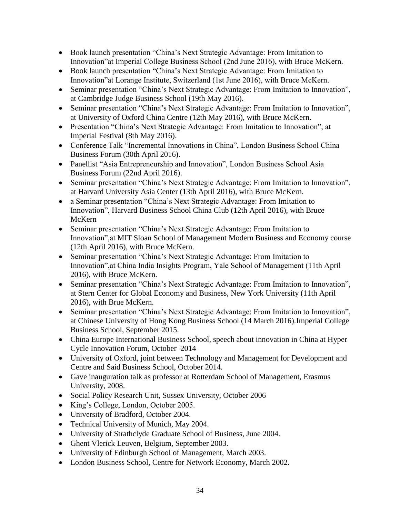- Book launch presentation "China's Next Strategic Advantage: From Imitation to Innovation"at Imperial College Business School (2nd June 2016), with Bruce McKern.
- Book launch presentation "China's Next Strategic Advantage: From Imitation to Innovation"at Lorange Institute, Switzerland (1st June 2016), with Bruce McKern.
- Seminar presentation "China's Next Strategic Advantage: From Imitation to Innovation", at Cambridge Judge Business School (19th May 2016).
- Seminar presentation "China's Next Strategic Advantage: From Imitation to Innovation", at University of Oxford China Centre (12th May 2016), with Bruce McKern.
- Presentation "China's Next Strategic Advantage: From Imitation to Innovation", at Imperial Festival (8th May 2016).
- Conference Talk "Incremental Innovations in China", London Business School China Business Forum (30th April 2016).
- Panellist "Asia Entrepreneurship and Innovation", London Business School Asia Business Forum (22nd April 2016).
- Seminar presentation "China's Next Strategic Advantage: From Imitation to Innovation", at Harvard University Asia Center (13th April 2016), with Bruce McKern.
- a Seminar presentation "China's Next Strategic Advantage: From Imitation to Innovation", Harvard Business School China Club (12th April 2016), with Bruce McKern
- Seminar presentation "China's Next Strategic Advantage: From Imitation to Innovation",at MIT Sloan School of Management Modern Business and Economy course (12th April 2016), with Bruce McKern.
- Seminar presentation "China's Next Strategic Advantage: From Imitation to Innovation",at China India Insights Program, Yale School of Management (11th April 2016), with Bruce McKern.
- Seminar presentation "China's Next Strategic Advantage: From Imitation to Innovation", at Stern Center for Global Economy and Business, New York University (11th April 2016), with Brue McKern.
- Seminar presentation "China's Next Strategic Advantage: From Imitation to Innovation", at Chinese University of Hong Kong Business School (14 March 2016).Imperial College Business School, September 2015.
- China Europe International Business School, speech about innovation in China at Hyper Cycle Innovation Forum, October 2014
- University of Oxford, joint between Technology and Management for Development and Centre and Said Business School, October 2014.
- Gave inauguration talk as professor at Rotterdam School of Management, Erasmus University, 2008.
- Social Policy Research Unit, Sussex University, October 2006
- King's College, London, October 2005.
- University of Bradford, October 2004.
- Technical University of Munich, May 2004.
- University of Strathclyde Graduate School of Business, June 2004.
- Ghent Vlerick Leuven, Belgium, September 2003.
- University of Edinburgh School of Management, March 2003.
- London Business School, Centre for Network Economy, March 2002.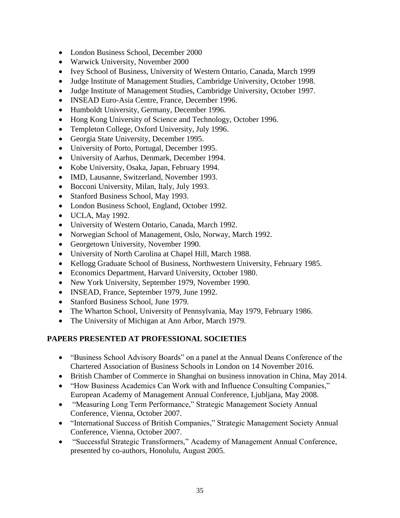- London Business School, December 2000
- Warwick University, November 2000
- Ivey School of Business, University of Western Ontario, Canada, March 1999
- Judge Institute of Management Studies, Cambridge University, October 1998.
- Judge Institute of Management Studies, Cambridge University, October 1997.
- INSEAD Euro-Asia Centre, France, December 1996.
- Humboldt University, Germany, December 1996.
- Hong Kong University of Science and Technology, October 1996.
- Templeton College, Oxford University, July 1996.
- Georgia State University, December 1995.
- University of Porto, Portugal, December 1995.
- University of Aarhus, Denmark, December 1994.
- Kobe University, Osaka, Japan, February 1994.
- IMD, Lausanne, Switzerland, November 1993.
- Bocconi University, Milan, Italy, July 1993.
- Stanford Business School, May 1993.
- London Business School, England, October 1992.
- UCLA, May 1992.
- University of Western Ontario, Canada, March 1992.
- Norwegian School of Management, Oslo, Norway, March 1992.
- Georgetown University, November 1990.
- University of North Carolina at Chapel Hill, March 1988.
- Kellogg Graduate School of Business, Northwestern University, February 1985.
- Economics Department, Harvard University, October 1980.
- New York University, September 1979, November 1990.
- INSEAD, France, September 1979, June 1992.
- Stanford Business School, June 1979.
- The Wharton School, University of Pennsylvania, May 1979, February 1986.
- The University of Michigan at Ann Arbor, March 1979.

# **PAPERS PRESENTED AT PROFESSIONAL SOCIETIES**

- "Business School Advisory Boards" on a panel at the Annual Deans Conference of the Chartered Association of Business Schools in London on 14 November 2016.
- British Chamber of Commerce in Shanghai on business innovation in China, May 2014.
- "How Business Academics Can Work with and Influence Consulting Companies," European Academy of Management Annual Conference, Ljubljana, May 2008.
- "Measuring Long Term Performance," Strategic Management Society Annual Conference, Vienna, October 2007.
- "International Success of British Companies," Strategic Management Society Annual Conference, Vienna, October 2007.
- "Successful Strategic Transformers," Academy of Management Annual Conference, presented by co-authors, Honolulu, August 2005.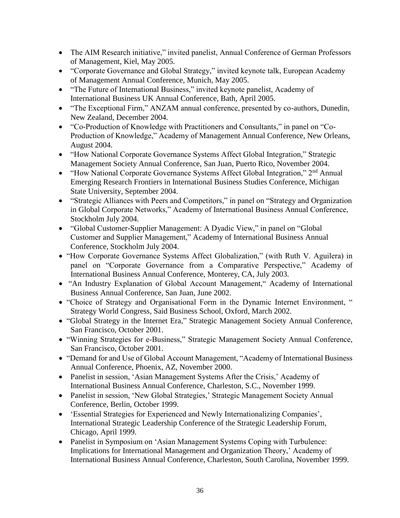- The AIM Research initiative," invited panelist, Annual Conference of German Professors of Management, Kiel, May 2005.
- "Corporate Governance and Global Strategy," invited keynote talk, European Academy of Management Annual Conference, Munich, May 2005.
- "The Future of International Business," invited keynote panelist, Academy of International Business UK Annual Conference, Bath, April 2005.
- "The Exceptional Firm," ANZAM annual conference, presented by co-authors, Dunedin, New Zealand, December 2004.
- "Co-Production of Knowledge with Practitioners and Consultants," in panel on "Co-Production of Knowledge," Academy of Management Annual Conference, New Orleans, August 2004.
- "How National Corporate Governance Systems Affect Global Integration," Strategic Management Society Annual Conference, San Juan, Puerto Rico, November 2004.
- "How National Corporate Governance Systems Affect Global Integration," 2<sup>nd</sup> Annual Emerging Research Frontiers in International Business Studies Conference, Michigan State University, September 2004.
- "Strategic Alliances with Peers and Competitors," in panel on "Strategy and Organization" in Global Corporate Networks," Academy of International Business Annual Conference, Stockholm July 2004.
- "Global Customer-Supplier Management: A Dyadic View," in panel on "Global Customer and Supplier Management," Academy of International Business Annual Conference, Stockholm July 2004.
- "How Corporate Governance Systems Affect Globalization," (with Ruth V. Aguilera) in panel on "Corporate Governance from a Comparative Perspective," Academy of International Business Annual Conference, Monterey, CA, July 2003.
- "An Industry Explanation of Global Account Management," Academy of International Business Annual Conference, San Juan, June 2002.
- "Choice of Strategy and Organisational Form in the Dynamic Internet Environment, " Strategy World Congress, Said Business School, Oxford, March 2002.
- "Global Strategy in the Internet Era," Strategic Management Society Annual Conference, San Francisco, October 2001.
- "Winning Strategies for e-Business," Strategic Management Society Annual Conference, San Francisco, October 2001.
- "Demand for and Use of Global Account Management, "Academy of International Business Annual Conference, Phoenix, AZ, November 2000.
- Panelist in session, 'Asian Management Systems After the Crisis,' Academy of International Business Annual Conference, Charleston, S.C., November 1999.
- Panelist in session, 'New Global Strategies,' Strategic Management Society Annual Conference, Berlin, October 1999.
- 'Essential Strategies for Experienced and Newly Internationalizing Companies', International Strategic Leadership Conference of the Strategic Leadership Forum, Chicago, April 1999.
- Panelist in Symposium on 'Asian Management Systems Coping with Turbulence: Implications for International Management and Organization Theory,' Academy of International Business Annual Conference, Charleston, South Carolina, November 1999.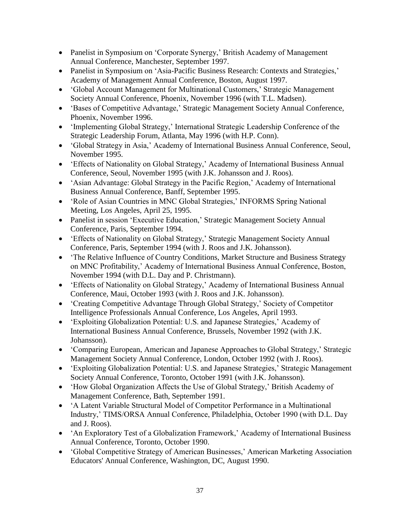- Panelist in Symposium on 'Corporate Synergy,' British Academy of Management Annual Conference, Manchester, September 1997.
- Panelist in Symposium on 'Asia-Pacific Business Research: Contexts and Strategies,' Academy of Management Annual Conference, Boston, August 1997.
- 'Global Account Management for Multinational Customers,' Strategic Management Society Annual Conference, Phoenix, November 1996 (with T.L. Madsen).
- 'Bases of Competitive Advantage,' Strategic Management Society Annual Conference, Phoenix, November 1996.
- 'Implementing Global Strategy,' International Strategic Leadership Conference of the Strategic Leadership Forum, Atlanta, May 1996 (with H.P. Conn).
- 'Global Strategy in Asia,' Academy of International Business Annual Conference, Seoul, November 1995.
- 'Effects of Nationality on Global Strategy,' Academy of International Business Annual Conference, Seoul, November 1995 (with J.K. Johansson and J. Roos).
- 'Asian Advantage: Global Strategy in the Pacific Region,' Academy of International Business Annual Conference, Banff, September 1995.
- 'Role of Asian Countries in MNC Global Strategies,' INFORMS Spring National Meeting, Los Angeles, April 25, 1995.
- Panelist in session 'Executive Education,' Strategic Management Society Annual Conference, Paris, September 1994.
- 'Effects of Nationality on Global Strategy,' Strategic Management Society Annual Conference, Paris, September 1994 (with J. Roos and J.K. Johansson).
- The Relative Influence of Country Conditions, Market Structure and Business Strategy on MNC Profitability,' Academy of International Business Annual Conference, Boston, November 1994 (with D.L. Day and P. Christmann).
- 'Effects of Nationality on Global Strategy,' Academy of International Business Annual Conference, Maui, October 1993 (with J. Roos and J.K. Johansson).
- 'Creating Competitive Advantage Through Global Strategy,' Society of Competitor Intelligence Professionals Annual Conference, Los Angeles, April 1993.
- 'Exploiting Globalization Potential: U.S. and Japanese Strategies,' Academy of International Business Annual Conference, Brussels, November 1992 (with J.K. Johansson).
- 'Comparing European, American and Japanese Approaches to Global Strategy,' Strategic Management Society Annual Conference, London, October 1992 (with J. Roos).
- 'Exploiting Globalization Potential: U.S. and Japanese Strategies,' Strategic Management Society Annual Conference, Toronto, October 1991 (with J.K. Johansson).
- 'How Global Organization Affects the Use of Global Strategy,' British Academy of Management Conference, Bath, September 1991.
- 'A Latent Variable Structural Model of Competitor Performance in a Multinational Industry,' TIMS/ORSA Annual Conference, Philadelphia, October 1990 (with D.L. Day and J. Roos).
- 'An Exploratory Test of a Globalization Framework,' Academy of International Business Annual Conference, Toronto, October 1990.
- Global Competitive Strategy of American Businesses,' American Marketing Association Educators' Annual Conference, Washington, DC, August 1990.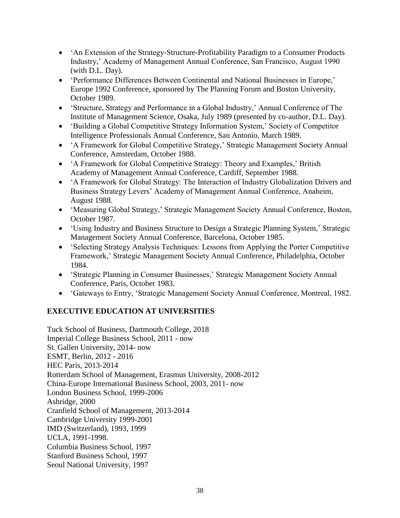- 'An Extension of the Strategy-Structure-Profitability Paradigm to a Consumer Products Industry,' Academy of Management Annual Conference, San Francisco, August 1990 (with D.L. Day).
- 'Performance Differences Between Continental and National Businesses in Europe,' Europe 1992 Conference, sponsored by The Planning Forum and Boston University, October 1989.
- 'Structure, Strategy and Performance in a Global Industry,' Annual Conference of The Institute of Management Science, Osaka, July 1989 (presented by co-author, D.L. Day).
- 'Building a Global Competitive Strategy Information System,' Society of Competitor Intelligence Professionals Annual Conference, San Antonio, March 1989.
- 'A Framework for Global Competitive Strategy,' Strategic Management Society Annual Conference, Amsterdam, October 1988.
- 'A Framework for Global Competitive Strategy: Theory and Examples,' British Academy of Management Annual Conference, Cardiff, September 1988.
- 'A Framework for Global Strategy: The Interaction of Industry Globalization Drivers and Business Strategy Levers' Academy of Management Annual Conference, Anaheim, August 1988.
- 'Measuring Global Strategy,' Strategic Management Society Annual Conference, Boston, October 1987.
- 'Using Industry and Business Structure to Design a Strategic Planning System,' Strategic Management Society Annual Conference, Barcelona, October 1985.
- 'Selecting Strategy Analysis Techniques: Lessons from Applying the Porter Competitive Framework,' Strategic Management Society Annual Conference, Philadelphia, October 1984.
- 'Strategic Planning in Consumer Businesses,' Strategic Management Society Annual Conference, Paris, October 1983.
- 'Gateways to Entry, 'Strategic Management Society Annual Conference, Montreal, 1982.

# **EXECUTIVE EDUCATION AT UNIVERSITIES**

Tuck School of Business, Dartmouth College, 2018 Imperial College Business School, 2011 - now St. Gallen University, 2014- now ESMT, Berlin, 2012 - 2016 HEC Paris, 2013-2014 Rotterdam School of Management, Erasmus University, 2008-2012 China-Europe International Business School, 2003, 2011- now London Business School, 1999-2006 Ashridge, 2000 Cranfield School of Management, 2013-2014 Cambridge University 1999-2001 IMD (Switzerland), 1993, 1999 UCLA, 1991-1998. Columbia Business School, 1997 Stanford Business School, 1997 Seoul National University, 1997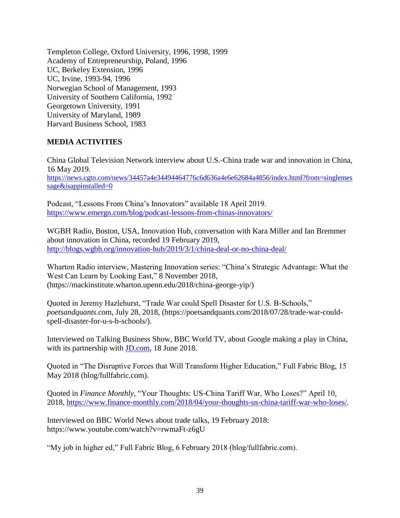Templeton College, Oxford University, 1996, 1998, 1999 Academy of Entrepreneurship, Poland, 1996 UC, Berkeley Extension, 1996 UC, Irvine, 1993-94, 1996 Norwegian School of Management, 1993 University of Southern California, 1992 Georgetown University, 1991 University of Maryland, 1989 Harvard Business School, 1983

# **MEDIA ACTIVITIES**

China Global Television Network interview about U.S.-China trade war and innovation in China, 16 May 2019. [https://news.cgtn.com/news/34457a4e34494464776c6d636a4e6e62684a4856/index.html?from=singlemes](https://news.cgtn.com/news/34457a4e34494464776c6d636a4e6e62684a4856/index.html?from=singlemessage&isappinstalled=0) [sage&isappinstalled=0](https://news.cgtn.com/news/34457a4e34494464776c6d636a4e6e62684a4856/index.html?from=singlemessage&isappinstalled=0)

Podcast, "Lessons From China's Innovators" available 18 April 2019. <https://www.emergn.com/blog/podcast-lessons-from-chinas-innovators/>

WGBH Radio, Boston, USA, Innovation Hub, conversation with Kara Miller and Ian Bremmer about innovation in China, recorded 19 February 2019, <http://blogs.wgbh.org/innovation-hub/2019/3/1/china-deal-or-no-china-deal/>

Wharton Radio interview, Mastering Innovation series: "China's Strategic Advantage: What the West Can Learn by Looking East," 8 November 2018, (https://mackinstitute.wharton.upenn.edu/2018/china-george-yip/)

Quoted in Jeremy Hazlehurst, "Trade War could Spell Disaster for U.S. B-Schools," *poetsandquants.*com, July 28, 2018, (https://poetsandquants.com/2018/07/28/trade-war-couldspell-disaster-for-u-s-b-schools/).

Interviewed on Talking Business Show, BBC World TV, about Google making a play in China, with its partnership with **JD**.com, 18 June 2018.

Quoted in "The Disruptive Forces that Will Transform Higher Education," Full Fabric Blog, 15 May 2018 (blog/fullfabric.com).

Quoted in *Finance Monthly,* "Your Thoughts: US-China Tariff War, Who Loses?" April 10, 2018, [https://www.finance-monthly.com/2018/04/your-thoughts-us-china-tariff-war-who-loses/.](https://www.finance-monthly.com/2018/04/your-thoughts-us-china-tariff-war-who-loses/)

Interviewed on BBC World News about trade talks, 19 February 2018: https://www.youtube.com/watch?v=rwmaFt-z6gU

"My job in higher ed," Full Fabric Blog, 6 February 2018 (blog/fullfabric.com).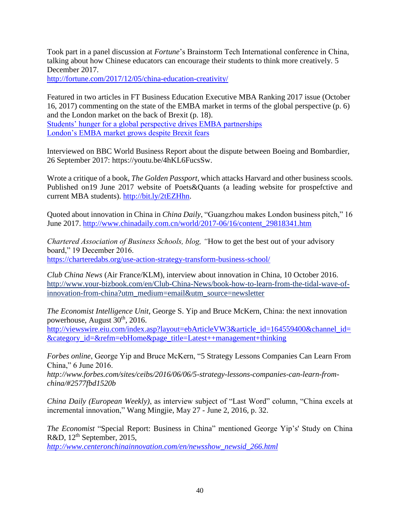Took part in a panel discussion at *Fortune*'s Brainstorm Tech International conference in China, talking about how Chinese educators can encourage their students to think more creatively. 5 December 2017.

<http://fortune.com/2017/12/05/china-education-creativity/>

Featured in two articles in FT Business Education Executive MBA Ranking 2017 issue (October 16, 2017) commenting on the state of the EMBA market in terms of the global perspective (p. 6) and the London market on the back of Brexit (p. 18). [Students' hunger for a global perspective drives EMBA partnerships](https://www.ft.com/content/e6d7ff3a-a50f-11e7-8d56-98a09be71849) [London's EMBA market grows despite Brexit fears](https://www.ft.com/content/4e031baa-971d-11e7-8c5c-c8d8fa6961bb)

Interviewed on BBC World Business Report about the dispute between Boeing and Bombardier, 26 September 2017: https://youtu.be/4hKL6FucsSw.

Wrote a critique of a book, *The Golden Passport*, which attacks Harvard and other business scools. Published on19 June 2017 website of Poets&Quants (a leading website for prospefctive and current MBA students). [http://bit.ly/2tEZHhn.](http://bit.ly/2tEZHhn)

Quoted about innovation in China in *China Daily*, "Guangzhou makes London business pitch," 16 June 2017. [http://www.chinadaily.com.cn/world/2017-06/16/content\\_29818341.htm](http://www.chinadaily.com.cn/world/2017-06/16/content_29818341.htm)

*Chartered Association of Business Schools, blog, "*How to get the best out of your advisory board," 19 December 2016.

<https://charteredabs.org/use-action-strategy-transform-business-school/>

*Club China News* (Air France/KLM), interview about innovation in China, 10 October 2016. http://www.your-bizbook.com/en/Club-China-News/book-how-to-learn-from-the-tidal-wave-ofinnovation-from-china?utm\_medium=email&utm\_source=newsletter

*The Economist Intelligence Unit*, George S. Yip and Bruce McKern, China: the next innovation powerhouse, August 30<sup>th</sup>, 2016.

[http://viewswire.eiu.com/index.asp?layout=ebArticleVW3&article\\_id=164559400&channel\\_id=](http://viewswire.eiu.com/index.asp?layout=ebArticleVW3&article_id=164559400&channel_id=&category_id=&refm=ebHome&page_title=Latest++management+thinking) [&category\\_id=&refm=ebHome&page\\_title=Latest++management+thinking](http://viewswire.eiu.com/index.asp?layout=ebArticleVW3&article_id=164559400&channel_id=&category_id=&refm=ebHome&page_title=Latest++management+thinking)

*Forbes online*, George Yip and Bruce McKern, "5 Strategy Lessons Companies Can Learn From China," 6 June 2016.

*http://www.forbes.com/sites/ceibs/2016/06/06/5-strategy-lessons-companies-can-learn-fromchina/#2577fbd1520b*

*China Daily (European Weekly)*, as interview subject of "Last Word" column, "China excels at incremental innovation," Wang Mingjie, May 27 - June 2, 2016, p. 32.

*The Economist* "Special Report: Business in China" mentioned George Yip's' Study on China R&D,  $12<sup>th</sup>$  September, 2015,

*[http://www.centeronchinainnovation.com/en/newsshow\\_newsid\\_266.html](http://www.centeronchinainnovation.com/en/newsshow_newsid_266.html)*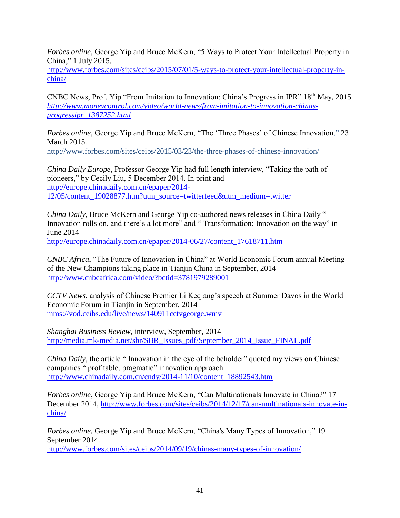*Forbes online*, George Yip and Bruce McKern, "5 Ways to Protect Your Intellectual Property in China," 1 July 2015.

[http://www.forbes.com/sites/ceibs/2015/07/01/5-ways-to-protect-your-intellectual-property-in](http://www.forbes.com/sites/ceibs/2015/07/01/5-ways-to-protect-your-intellectual-property-in-china/)[china/](http://www.forbes.com/sites/ceibs/2015/07/01/5-ways-to-protect-your-intellectual-property-in-china/)

CNBC News, Prof. Yip "From Imitation to Innovation: China's Progress in IPR" 18th May, 2015 *[http://www.moneycontrol.com/video/world-news/from-imitation-to-innovation-chinas](http://www.moneycontrol.com/video/world-news/from-imitation-to-innovation-chinas-progressipr_1387252.html)[progressipr\\_1387252.html](http://www.moneycontrol.com/video/world-news/from-imitation-to-innovation-chinas-progressipr_1387252.html)*

*Forbes online*, George Yip and Bruce McKern, "The 'Three Phases' of Chinese Innovation," 23 March 2015.

http://www.forbes.com/sites/ceibs/2015/03/23/the-three-phases-of-chinese-innovation/

*China Daily Europe*, Professor George Yip had full length interview, "Taking the path of pioneers," by Cecily Liu, 5 December 2014. In print and [http://europe.chinadaily.com.cn/epaper/2014-](http://europe.chinadaily.com.cn/epaper/2014-12/05/content_19028877.htm?utm_source=twitterfeed&utm_medium=twitter) [12/05/content\\_19028877.htm?utm\\_source=twitterfeed&utm\\_medium=twitter](http://europe.chinadaily.com.cn/epaper/2014-12/05/content_19028877.htm?utm_source=twitterfeed&utm_medium=twitter)

*China Daily*, Bruce McKern and George Yip co-authored news releases in China Daily " Innovation rolls on, and there's a lot more" and " Transformation: Innovation on the way" in June 2014

[http://europe.chinadaily.com.cn/epaper/2014-06/27/content\\_17618711.htm](http://europe.chinadaily.com.cn/epaper/2014-06/27/content_17618711.htm)

*CNBC Africa*, "The Future of Innovation in China" at World Economic Forum annual Meeting of the New Champions taking place in Tianjin China in September, 2014 <http://www.cnbcafrica.com/video/?bctid=3781979289001>

*CCTV News*, analysis of Chinese Premier Li Keqiang's speech at Summer Davos in the World Economic Forum in Tianjin in September, 2014 <mms://vod.ceibs.edu/live/news/140911cctvgeorge.wmv>

*Shanghai Business Review*, interview, September, 2014 http://media.mk-media.net/sbr/SBR\_Issues\_pdf/September\_2014\_Issue\_FINAL.pdf

*China Daily*, the article " Innovation in the eye of the beholder" quoted my views on Chinese companies " profitable, pragmatic" innovation approach. http://www.chinadaily.com.cn/cndy/2014-11/10/content\_18892543.htm

*Forbes online*, George Yip and Bruce McKern, "Can Multinationals Innovate in China?" 17 December 2014, [http://www.forbes.com/sites/ceibs/2014/12/17/can-multinationals-innovate-in](http://www.forbes.com/sites/ceibs/2014/12/17/can-multinationals-innovate-in-china/)[china/](http://www.forbes.com/sites/ceibs/2014/12/17/can-multinationals-innovate-in-china/)

*Forbes online*, George Yip and Bruce McKern, "China's Many Types of Innovation," 19 September 2014.

http://www.forbes.com/sites/ceibs/2014/09/19/chinas-many-types-of-innovation/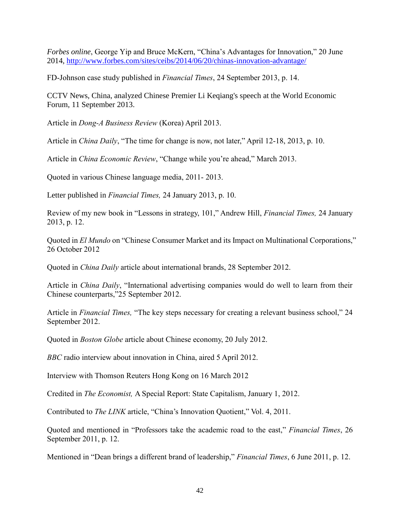*Forbes online*, George Yip and Bruce McKern, "China's Advantages for Innovation," 20 June 2014,<http://www.forbes.com/sites/ceibs/2014/06/20/chinas-innovation-advantage/>

FD-Johnson case study published in *Financial Times*, 24 September 2013, p. 14.

CCTV News, China, analyzed Chinese Premier Li Keqiang's speech at the World Economic Forum, 11 September 2013.

Article in *Dong-A Business Review* (Korea) April 2013.

Article in *China Daily*, "The time for change is now, not later," April 12-18, 2013, p. 10.

Article in *China Economic Review*, "Change while you're ahead," March 2013.

Quoted in various Chinese language media, 2011- 2013.

Letter published in *Financial Times,* 24 January 2013, p. 10.

Review of my new book in "Lessons in strategy, 101," Andrew Hill, *Financial Times,* 24 January 2013, p. 12.

Quoted in *El Mundo* on "Chinese Consumer Market and its Impact on Multinational Corporations," 26 October 2012

Quoted in *China Daily* article about international brands, 28 September 2012.

Article in *China Daily*, "International advertising companies would do well to learn from their Chinese counterparts,"25 September 2012.

Article in *Financial Times,* "The key steps necessary for creating a relevant business school," 24 September 2012.

Quoted in *Boston Globe* article about Chinese economy, 20 July 2012.

*BBC* radio interview about innovation in China, aired 5 April 2012.

Interview with Thomson Reuters Hong Kong on 16 March 2012

Credited in *The Economist,* A Special Report: State Capitalism, January 1, 2012.

Contributed to *The LINK* article, "China's Innovation Quotient," Vol. 4, 2011.

Quoted and mentioned in "Professors take the academic road to the east," *Financial Times*, 26 September 2011, p. 12.

Mentioned in "Dean brings a different brand of leadership," *Financial Times*, 6 June 2011, p. 12.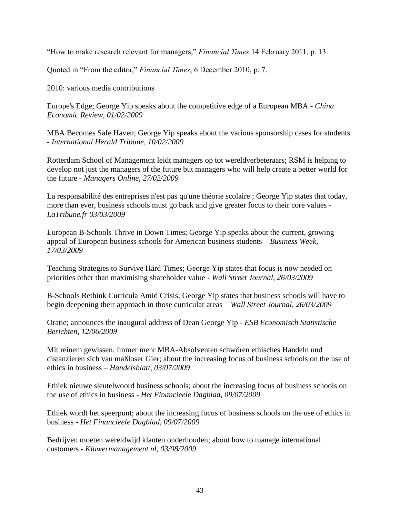"How to make research relevant for managers," *Financial Times* 14 February 2011, p. 13.

Quoted in "From the editor," *Financial Times*, 6 December 2010, p. 7.

2010: various media contributions

Europe's Edge; George Yip speaks about the competitive edge of a European MBA - *China Economic Review, 01/02/2009*

MBA Becomes Safe Haven; George Yip speaks about the various sponsorship cases for students - *International Herald Tribune, 10/02/2009*

Rotterdam School of Management leidt managers op tot wereldverbeteraars; RSM is helping to develop not just the managers of the future but managers who will help create a better world for the future - *Managers Online, 27/02/2009*

La responsabilité des entreprises n'est pas qu'une théorie scolaire ; George Yip states that today, more than ever, business schools must go back and give greater focus to their core values - *LaTribune.fr 03/03/2009*

European B-Schools Thrive in Down Times; George Yip speaks about the current, growing appeal of European business schools for American business students – *Business Week, 17/03/2009*

Teaching Strategies to Survive Hard Times; George Yip states that focus is now needed on priorities other than maximising shareholder value - *Wall Street Journal, 26/03/2009*

B-Schools Rethink Curricula Amid Crisis; George Yip states that business schools will have to begin deepening their approach in those curricular areas – *Wall Street Journal, 26/03/2009*

Oratie; announces the inaugural address of Dean George Yip - *ESB Economisch Statistische Berichten, 12/06/2009*

Mit reinem gewissen. Immer mehr MBA-Absolventen schwören ethisches Handeln und distanzieren sich van maßloser Gier; about the increasing focus of business schools on the use of ethics in business – *Handelsblatt, 03/07/2009*

Ethiek nieuwe sleutelwoord business schools; about the increasing focus of business schools on the use of ethics in business *- Het Financieele Dagblad, 09/07/2009*

Ethiek wordt het speerpunt; about the increasing focus of business schools on the use of ethics in business - *Het Financieele Dagblad, 09/07/2009*

Bedrijven moeten wereldwijd klanten onderhouden; about how to manage international customers - *Kluwermanagement.nl, 03/08/2009*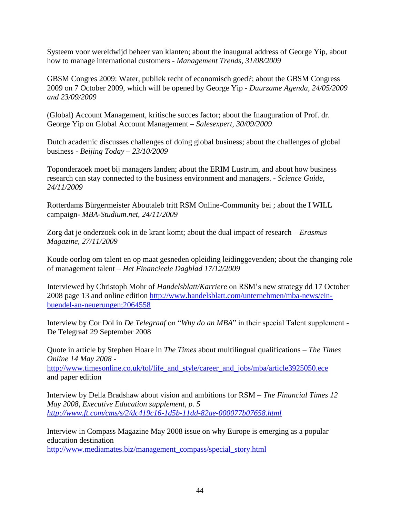Systeem voor wereldwijd beheer van klanten; about the inaugural address of George Yip, about how to manage international customers - *Management Trends, 31/08/2009*

GBSM Congres 2009: Water, publiek recht of economisch goed?; about the GBSM Congress 2009 on 7 October 2009, which will be opened by George Yip - *Duurzame Agenda, 24/05/2009 and 23/09/2009*

(Global) Account Management, kritische succes factor; about the Inauguration of Prof. dr. George Yip on Global Account Management – *Salesexpert, 30/09/2009*

Dutch academic discusses challenges of doing global business; about the challenges of global business - *Beijing Today – 23/10/2009*

Toponderzoek moet bij managers landen; about the ERIM Lustrum, and about how business research can stay connected to the business environment and managers. - *Science Guide, 24/11/2009*

Rotterdams Bürgermeister Aboutaleb tritt RSM Online-Community bei ; about the I WILL campaign- *MBA-Studium.net, 24/11/2009*

Zorg dat je onderzoek ook in de krant komt; about the dual impact of research – *Erasmus Magazine, 27/11/2009*

Koude oorlog om talent en op maat gesneden opleiding leidinggevenden; about the changing role of management talent – *Het Financieele Dagblad 17/12/2009*

Interviewed by Christoph Mohr of *Handelsblatt/Karriere* on RSM's new strategy dd 17 October 2008 page 13 and online edition [http://www.handelsblatt.com/unternehmen/mba-news/ein](http://www.handelsblatt.com/unternehmen/mba-news/ein-buendel-an-neuerungen;2064558)[buendel-an-neuerungen;2064558](http://www.handelsblatt.com/unternehmen/mba-news/ein-buendel-an-neuerungen;2064558)

Interview by Cor Dol in *De Telegraaf* on "*Why do an MBA*" in their special Talent supplement - De Telegraaf 29 September 2008

Quote in article by Stephen Hoare in *The Times* about multilingual qualifications – *The Times Online 14 May 2008 -*

[http://www.timesonline.co.uk/tol/life\\_and\\_style/career\\_and\\_jobs/mba/article3925050.ece](http://www.timesonline.co.uk/tol/life_and_style/career_and_jobs/mba/article3925050.ece) and paper edition

Interview by Della Bradshaw about vision and ambitions for RSM – *The Financial Times 12 May 2008, Executive Education supplement, p. 5 <http://www.ft.com/cms/s/2/dc419c16-1d5b-11dd-82ae-000077b07658.html>*

Interview in Compass Magazine May 2008 issue on why Europe is emerging as a popular education destination

[http://www.mediamates.biz/management\\_compass/special\\_story.html](http://www.mediamates.biz/management_compass/special_story.html)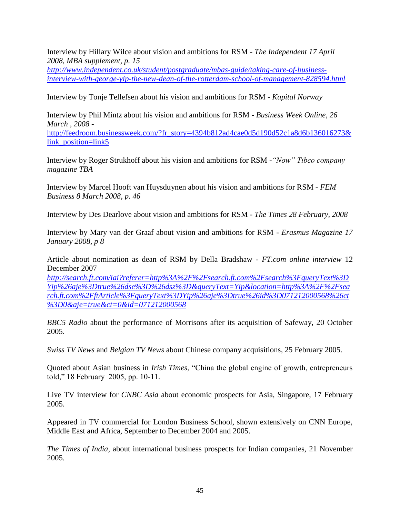Interview by Hillary Wilce about vision and ambitions for RSM - *The Independent 17 April 2008, MBA supplement, p. 15*

*[http://www.independent.co.uk/student/postgraduate/mbas-guide/taking-care-of-business](http://www.independent.co.uk/student/postgraduate/mbas-guide/taking-care-of-business-interview-with-george-yip-the-new-dean-of-the-rotterdam-school-of-management-828594.html)[interview-with-george-yip-the-new-dean-of-the-rotterdam-school-of-management-828594.html](http://www.independent.co.uk/student/postgraduate/mbas-guide/taking-care-of-business-interview-with-george-yip-the-new-dean-of-the-rotterdam-school-of-management-828594.html)*

Interview by Tonje Tellefsen about his vision and ambitions for RSM - *Kapital Norway*

Interview by Phil Mintz about his vision and ambitions for RSM - *Business Week Online, 26 March , 2008 -*

[http://feedroom.businessweek.com/?fr\\_story=4394b812ad4cae0d5d190d52c1a8d6b136016273&](http://feedroom.businessweek.com/?fr_story=4394b812ad4cae0d5d190d52c1a8d6b136016273&link_position=link5) link position=link5

Interview by Roger Strukhoff about his vision and ambitions for RSM -*"Now" Tibco company magazine TBA*

Interview by Marcel Hooft van Huysduynen about his vision and ambitions for RSM - *FEM Business 8 March 2008, p. 46*

Interview by Des Dearlove about vision and ambitions for RSM - *The Times 28 February, 2008*

Interview by Mary van der Graaf about vision and ambitions for RSM - *Erasmus Magazine 17 January 2008, p 8*

Article about nomination as dean of RSM by Della Bradshaw - *FT.com online interview* 12 December 2007

*[http://search.ft.com/iai?referer=http%3A%2F%2Fsearch.ft.com%2Fsearch%3FqueryText%3D](http://search.ft.com/iai?referer=http%3A%2F%2Fsearch.ft.com%2Fsearch%3FqueryText%3DYip%26aje%3Dtrue%26dse%3D%26dsz%3D&queryText=Yip&location=http%3A%2F%2Fsearch.ft.com%2FftArticle%3FqueryText%3DYip%26aje%3Dtrue%26id%3D071212000568%26ct%3D0&aje=true&ct=0&id=071212000568) [Yip%26aje%3Dtrue%26dse%3D%26dsz%3D&queryText=Yip&location=http%3A%2F%2Fsea](http://search.ft.com/iai?referer=http%3A%2F%2Fsearch.ft.com%2Fsearch%3FqueryText%3DYip%26aje%3Dtrue%26dse%3D%26dsz%3D&queryText=Yip&location=http%3A%2F%2Fsearch.ft.com%2FftArticle%3FqueryText%3DYip%26aje%3Dtrue%26id%3D071212000568%26ct%3D0&aje=true&ct=0&id=071212000568) [rch.ft.com%2FftArticle%3FqueryText%3DYip%26aje%3Dtrue%26id%3D071212000568%26ct](http://search.ft.com/iai?referer=http%3A%2F%2Fsearch.ft.com%2Fsearch%3FqueryText%3DYip%26aje%3Dtrue%26dse%3D%26dsz%3D&queryText=Yip&location=http%3A%2F%2Fsearch.ft.com%2FftArticle%3FqueryText%3DYip%26aje%3Dtrue%26id%3D071212000568%26ct%3D0&aje=true&ct=0&id=071212000568) [%3D0&aje=true&ct=0&id=071212000568](http://search.ft.com/iai?referer=http%3A%2F%2Fsearch.ft.com%2Fsearch%3FqueryText%3DYip%26aje%3Dtrue%26dse%3D%26dsz%3D&queryText=Yip&location=http%3A%2F%2Fsearch.ft.com%2FftArticle%3FqueryText%3DYip%26aje%3Dtrue%26id%3D071212000568%26ct%3D0&aje=true&ct=0&id=071212000568)*

*BBC5 Radio* about the performance of Morrisons after its acquisition of Safeway, 20 October 2005.

*Swiss TV News* and *Belgian TV News* about Chinese company acquisitions, 25 February 2005.

Quoted about Asian business in *Irish Times*, "China the global engine of growth, entrepreneurs told," 18 February 2005, pp. 10-11.

Live TV interview for *CNBC Asia* about economic prospects for Asia, Singapore, 17 February 2005.

Appeared in TV commercial for London Business School, shown extensively on CNN Europe, Middle East and Africa, September to December 2004 and 2005.

*The Times of India,* about international business prospects for Indian companies, 21 November 2005.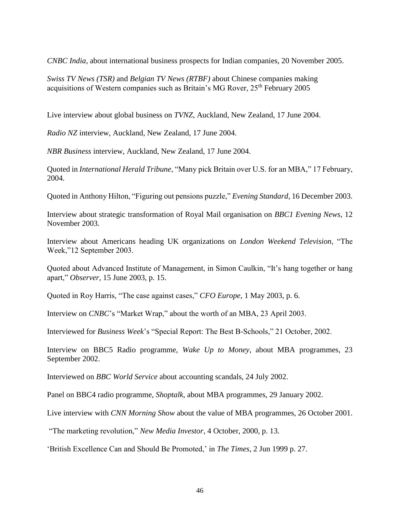*CNBC India,* about international business prospects for Indian companies, 20 November 2005.

*Swiss TV News (TSR)* and *Belgian TV News (RTBF)* about Chinese companies making acquisitions of Western companies such as Britain's MG Rover, 25<sup>th</sup> February 2005

Live interview about global business on *TVNZ*, Auckland, New Zealand, 17 June 2004.

*Radio NZ* interview, Auckland, New Zealand, 17 June 2004.

*NBR Business* interview, Auckland, New Zealand, 17 June 2004.

Quoted in *International Herald Tribune*, "Many pick Britain over U.S. for an MBA," 17 February, 2004.

Quoted in Anthony Hilton, "Figuring out pensions puzzle," *Evening Standard*, 16 December 2003.

Interview about strategic transformation of Royal Mail organisation on *BBC1 Evening News*, 12 November 2003.

Interview about Americans heading UK organizations on *London Weekend Television*, "The Week,"12 September 2003.

Quoted about Advanced Institute of Management, in Simon Caulkin, "It's hang together or hang apart," *Observer*, 15 June 2003, p. 15.

Quoted in Roy Harris, "The case against cases," *CFO Europe*, 1 May 2003, p. 6.

Interview on *CNBC*'s "Market Wrap," about the worth of an MBA, 23 April 2003.

Interviewed for *Business Week*'s "Special Report: The Best B-Schools," 21 October, 2002.

Interview on BBC5 Radio programme, *Wake Up to Money*, about MBA programmes, 23 September 2002.

Interviewed on *BBC World Service* about accounting scandals, 24 July 2002.

Panel on BBC4 radio programme, *Shoptalk*, about MBA programmes, 29 January 2002.

Live interview with *CNN Morning Show* about the value of MBA programmes, 26 October 2001.

"The marketing revolution," *New Media Investor*, 4 October, 2000, p. 13.

'British Excellence Can and Should Be Promoted,' in *The Times*, 2 Jun 1999 p. 27.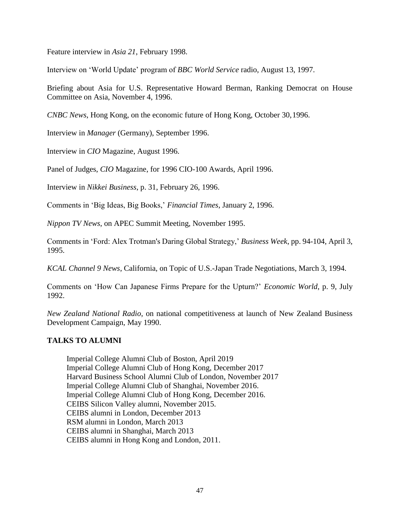Feature interview in *Asia 21*, February 1998.

Interview on 'World Update' program of *BBC World Service* radio, August 13, 1997.

Briefing about Asia for U.S. Representative Howard Berman, Ranking Democrat on House Committee on Asia, November 4, 1996.

*CNBC News*, Hong Kong, on the economic future of Hong Kong, October 30,1996.

Interview in *Manager* (Germany), September 1996.

Interview in *CIO* Magazine, August 1996.

Panel of Judges, *CIO* Magazine, for 1996 CIO-100 Awards, April 1996.

Interview in *Nikkei Business*, p. 31, February 26, 1996.

Comments in 'Big Ideas, Big Books,' *Financial Times*, January 2, 1996.

*Nippon TV News*, on APEC Summit Meeting, November 1995.

Comments in 'Ford: Alex Trotman's Daring Global Strategy,' *Business Week*, pp. 94-104, April 3, 1995.

*KCAL Channel 9 News*, California, on Topic of U.S.-Japan Trade Negotiations, March 3, 1994.

Comments on 'How Can Japanese Firms Prepare for the Upturn?' *Economic World*, p. 9, July 1992.

*New Zealand National Radio*, on national competitiveness at launch of New Zealand Business Development Campaign, May 1990.

# **TALKS TO ALUMNI**

Imperial College Alumni Club of Boston, April 2019 Imperial College Alumni Club of Hong Kong, December 2017 Harvard Business School Alumni Club of London, November 2017 Imperial College Alumni Club of Shanghai, November 2016. Imperial College Alumni Club of Hong Kong, December 2016. CEIBS Silicon Valley alumni, November 2015. CEIBS alumni in London, December 2013 RSM alumni in London, March 2013 CEIBS alumni in Shanghai, March 2013 CEIBS alumni in Hong Kong and London, 2011.